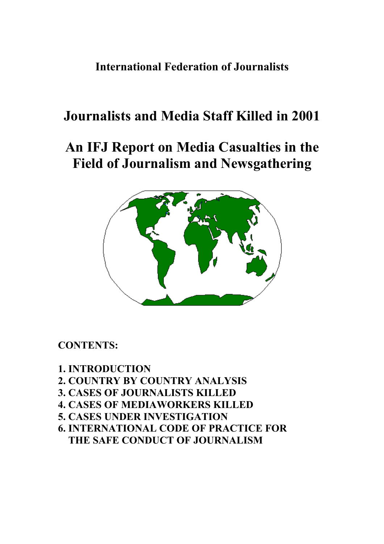**International Federation of Journalists** 

# **Journalists and Media Staff Killed in 2001**

# **An IFJ Report on Media Casualties in the Field of Journalism and Newsgathering**



## **CONTENTS:**

### **1. INTRODUCTION**

- **2. COUNTRY BY COUNTRY ANALYSIS**
- **3. CASES OF JOURNALISTS KILLED**
- **4. CASES OF MEDIAWORKERS KILLED**
- **5. CASES UNDER INVESTIGATION**
- **6. INTERNATIONAL CODE OF PRACTICE FOR THE SAFE CONDUCT OF JOURNALISM**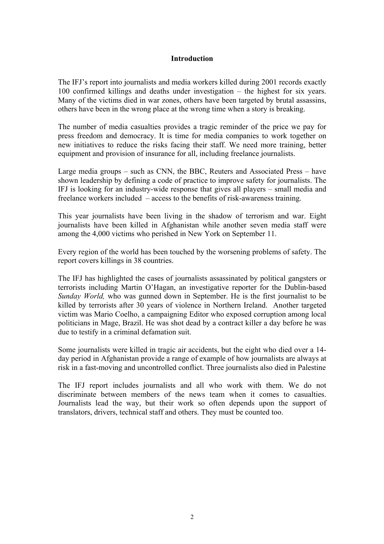#### **Introduction**

The IFJ's report into journalists and media workers killed during 2001 records exactly 100 confirmed killings and deaths under investigation – the highest for six years. Many of the victims died in war zones, others have been targeted by brutal assassins, others have been in the wrong place at the wrong time when a story is breaking.

The number of media casualties provides a tragic reminder of the price we pay for press freedom and democracy. It is time for media companies to work together on new initiatives to reduce the risks facing their staff. We need more training, better equipment and provision of insurance for all, including freelance journalists.

Large media groups – such as CNN, the BBC, Reuters and Associated Press – have shown leadership by defining a code of practice to improve safety for journalists. The IFJ is looking for an industry-wide response that gives all players – small media and freelance workers included – access to the benefits of risk-awareness training.

This year journalists have been living in the shadow of terrorism and war. Eight journalists have been killed in Afghanistan while another seven media staff were among the 4,000 victims who perished in New York on September 11.

Every region of the world has been touched by the worsening problems of safety. The report covers killings in 38 countries.

The IFJ has highlighted the cases of journalists assassinated by political gangsters or terrorists including Martin O'Hagan, an investigative reporter for the Dublin-based *Sunday World,* who was gunned down in September. He is the first journalist to be killed by terrorists after 30 years of violence in Northern Ireland. Another targeted victim was Mario Coelho, a campaigning Editor who exposed corruption among local politicians in Mage, Brazil. He was shot dead by a contract killer a day before he was due to testify in a criminal defamation suit.

Some journalists were killed in tragic air accidents, but the eight who died over a 14 day period in Afghanistan provide a range of example of how journalists are always at risk in a fast-moving and uncontrolled conflict. Three journalists also died in Palestine

The IFJ report includes journalists and all who work with them. We do not discriminate between members of the news team when it comes to casualties. Journalists lead the way, but their work so often depends upon the support of translators, drivers, technical staff and others. They must be counted too.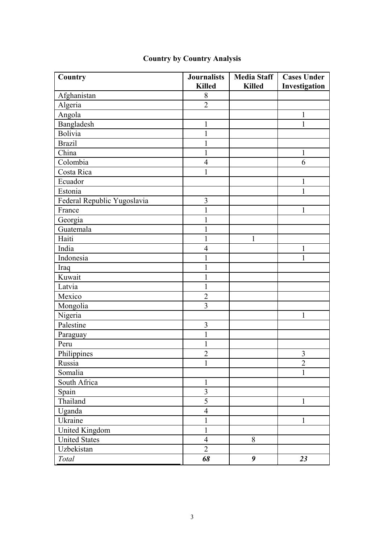| Country                     | <b>Journalists</b>      | <b>Media Staff</b> | <b>Cases Under</b> |
|-----------------------------|-------------------------|--------------------|--------------------|
|                             | <b>Killed</b>           | <b>Killed</b>      | Investigation      |
| Afghanistan                 | 8                       |                    |                    |
| Algeria                     | $\overline{2}$          |                    |                    |
| Angola                      |                         |                    | 1                  |
| Bangladesh                  | $\mathbf{1}$            |                    | $\mathbf{1}$       |
| Bolivia                     | $\mathbf{1}$            |                    |                    |
| <b>Brazil</b>               | $\mathbf{1}$            |                    |                    |
| China                       | 1                       |                    | 1                  |
| Colombia                    | $\overline{4}$          |                    | 6                  |
| Costa Rica                  | 1                       |                    |                    |
| Ecuador                     |                         |                    | $\mathbf{1}$       |
| Estonia                     |                         |                    | $\mathbf{1}$       |
| Federal Republic Yugoslavia | 3                       |                    |                    |
| France                      | $\mathbf{1}$            |                    | 1                  |
| Georgia                     | 1                       |                    |                    |
| Guatemala                   | $\mathbf{1}$            |                    |                    |
| Haiti                       | 1                       | $\mathbf{1}$       |                    |
| India                       | $\overline{4}$          |                    | $\mathbf{1}$       |
| Indonesia                   |                         |                    | 1                  |
| Iraq                        | $\mathbf{1}$            |                    |                    |
| Kuwait                      | 1                       |                    |                    |
| Latvia                      | $\mathbf{1}$            |                    |                    |
| Mexico                      | $\overline{2}$          |                    |                    |
| Mongolia                    | $\overline{3}$          |                    |                    |
| Nigeria                     |                         |                    | 1                  |
| Palestine                   | $\overline{\mathbf{3}}$ |                    |                    |
| Paraguay                    | $\mathbf{1}$            |                    |                    |
| Peru                        | $\mathbf{1}$            |                    |                    |
| Philippines                 | $\overline{2}$          |                    | $\mathfrak{Z}$     |
| Russia                      |                         |                    | $\overline{c}$     |
| Somalia                     |                         |                    | $\mathbf{1}$       |
| South Africa                | $\mathbf{1}$            |                    |                    |
| Spain                       | $\overline{\mathbf{3}}$ |                    |                    |
| Thailand                    | 5                       |                    | $\mathbf{1}$       |
| Uganda                      | $\overline{4}$          |                    |                    |
| Ukraine                     | 1                       |                    | 1                  |
| United Kingdom              | $\mathbf{1}$            |                    |                    |
| <b>United States</b>        | $\overline{4}$          | 8                  |                    |
| Uzbekistan                  | $\overline{2}$          |                    |                    |
| Total                       | 68                      | 9                  | 23                 |

# **Country by Country Analysis**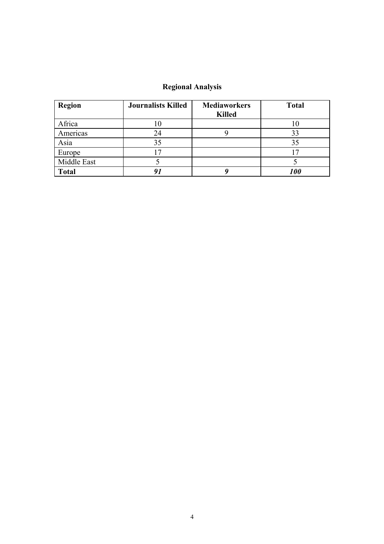### **Regional Analysis**

| <b>Region</b> | <b>Journalists Killed</b> | <b>Mediaworkers</b><br><b>Killed</b> | <b>Total</b> |
|---------------|---------------------------|--------------------------------------|--------------|
| Africa        | ΙU                        |                                      |              |
| Americas      | 24                        |                                      | 33           |
| Asia          | 35                        |                                      | 35           |
| Europe        |                           |                                      |              |
| Middle East   |                           |                                      |              |
| <b>Total</b>  |                           |                                      | <i>100</i>   |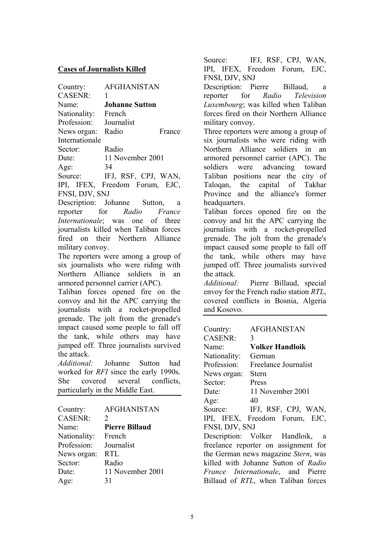#### **Cases of Journalists Killed**

| Country:       | <b>AFGHANISTAN</b>      |
|----------------|-------------------------|
| <b>CASENR:</b> |                         |
| Name:          | <b>Johanne Sutton</b>   |
| Nationality:   | French                  |
| Profession:    | Journalist              |
| News organ:    | Radio<br>France         |
| Internationale |                         |
| Sector:        | Radio                   |
| Date:          | 11 November 2001        |
| Age:           | 34                      |
| Source:        | IFJ, RSF, CPJ, WAN,     |
| IDI<br>IEEY    | Freedom<br>$F_{\Omega}$ |

IPI, IFEX, Freedom Forum, EJC, FNSI, DJV, SNJ

Description: Johanne Sutton, a reporter for *Radio France Internationale*; was one of three journalists killed when Taliban forces fired on their Northern Alliance military convoy.

The reporters were among a group of six journalists who were riding with Northern Alliance soldiers in an armored personnel carrier (APC).

Taliban forces opened fire on the convoy and hit the APC carrying the journalists with a rocket-propelled grenade. The jolt from the grenade's impact caused some people to fall off the tank, while others may have jumped off. Three journalists survived the attack.

*Additional:* Johanne Sutton had worked for *RFI* since the early 1990s. She covered several conflicts, particularly in the Middle East.

| Country:       | <b>AFGHANISTAN</b>    |
|----------------|-----------------------|
| <b>CASENR:</b> | $\mathcal{D}_{\cdot}$ |
| Name:          | <b>Pierre Billaud</b> |
| Nationality:   | French                |
| Profession:    | Journalist            |
| News organ:    | <b>RTL</b>            |
| Sector:        | Radio                 |
| Date:          | 11 November 2001      |
| Age:           | 31                    |

Source: IFJ, RSF, CPJ, WAN, IPI, IFEX, Freedom Forum, EJC, FNSI, DJV, SNJ

Description: Pierre Billaud, a reporter for *Radio Television Luxembourg*; was killed when Taliban forces fired on their Northern Alliance military convoy.

Three reporters were among a group of six journalists who were riding with Northern Alliance soldiers in an armored personnel carrier (APC). The soldiers were advancing toward Taliban positions near the city of Taloqan, the capital of Takhar Province and the alliance's former headquarters.

Taliban forces opened fire on the convoy and hit the APC carrying the journalists with a rocket-propelled grenade. The jolt from the grenade's impact caused some people to fall off the tank, while others may have jumped off. Three journalists survived the attack.

*Additional:* Pierre Billaud, special envoy for the French radio station *RTL*, covered conflicts in Bosnia, Algeria and Kosovo.

| Country:                                  | <b>AFGHANISTAN</b>                  |  |
|-------------------------------------------|-------------------------------------|--|
| <b>CASENR:</b>                            | 3                                   |  |
| Name:                                     | <b>Volker Handloik</b>              |  |
| Nationality:                              | German                              |  |
| Profession:                               | Freelance Journalist                |  |
| News organ:                               | <b>Stern</b>                        |  |
| Sector:                                   | Press                               |  |
| Date:                                     | 11 November 2001                    |  |
| Age:                                      | 40                                  |  |
|                                           | Source: IFJ, RSF, CPJ, WAN,         |  |
|                                           | IPI, IFEX, Freedom Forum, EJC,      |  |
| FNSI, DJV, SNJ                            |                                     |  |
|                                           | Description: Volker Handloik, a     |  |
| freelance reporter on assignment for      |                                     |  |
|                                           | the German news magazine Stern, was |  |
|                                           | killed with Johanne Sutton of Radio |  |
| <i>France Internationale</i> , and Pierre |                                     |  |
|                                           | Billaud of RTL, when Taliban forces |  |
|                                           |                                     |  |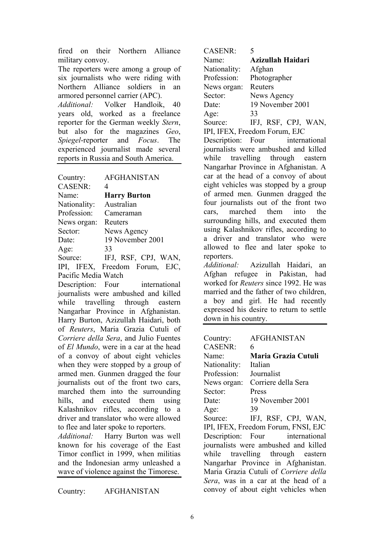fired on their Northern Alliance military convoy.

The reporters were among a group of six journalists who were riding with Northern Alliance soldiers in an armored personnel carrier (APC).

*Additional:* Volker Handloik, 40 years old, worked as a freelance reporter for the German weekly *Stern*, but also for the magazines *Geo*, *Spiegel*-reporter and *Focus*. The experienced journalist made several reports in Russia and South America.

| Country:       | <b>AFGHANISTAN</b>             |
|----------------|--------------------------------|
| <b>CASENR:</b> | $\overline{4}$                 |
| Name:          | <b>Harry Burton</b>            |
| Nationality:   | Australian                     |
| Profession:    | Cameraman                      |
| News organ:    | Reuters                        |
| Sector:        | News Agency                    |
| Date:          | 19 November 2001               |
| Age:           | 33                             |
| Source:        | IFJ, RSF, CPJ, WAN,            |
|                | IPI, IFEX, Freedom Forum, EJC, |

Pacific Media Watch

Description: Four international journalists were ambushed and killed while travelling through eastern Nangarhar Province in Afghanistan. Harry Burton, Azizullah Haidari, both of *Reuters*, Maria Grazia Cutuli of *Corriere della Sera*, and Julio Fuentes of *El Mundo*, were in a car at the head of a convoy of about eight vehicles when they were stopped by a group of armed men. Gunmen dragged the four journalists out of the front two cars, marched them into the surrounding hills, and executed them using Kalashnikov rifles, according to a driver and translator who were allowed to flee and later spoke to reporters.

*Additional:* Harry Burton was well known for his coverage of the East Timor conflict in 1999, when militias and the Indonesian army unleashed a wave of violence against the Timorese.

Country: AFGHANISTAN

| <b>CASENR:</b>                | 5                   |  |
|-------------------------------|---------------------|--|
| Name <sup>-</sup>             | Azizullah Haidari   |  |
| Nationality:                  | Afghan              |  |
| Profession:                   | Photographer        |  |
| News organ:                   | Reuters             |  |
| Sector:                       | News Agency         |  |
| Date:                         | 19 November 2001    |  |
| Age:                          | 33                  |  |
| Source:                       | IFJ, RSF, CPJ, WAN, |  |
| IPI, IFEX, Freedom Forum, EJC |                     |  |

Description: Four international journalists were ambushed and killed while travelling through eastern Nangarhar Province in Afghanistan. A car at the head of a convoy of about eight vehicles was stopped by a group of armed men. Gunmen dragged the four journalists out of the front two cars, marched them into the surrounding hills, and executed them using Kalashnikov rifles, according to a driver and translator who were allowed to flee and later spoke to reporters.

*Additional:* Azizullah Haidari, an Afghan refugee in Pakistan, had worked for *Reuters* since 1992. He was married and the father of two children, a boy and girl. He had recently expressed his desire to return to settle down in his country.

| Country:                            | <b>AFGHANISTAN</b>                    |
|-------------------------------------|---------------------------------------|
| <b>CASENR:</b>                      | 6                                     |
| Name:                               | Maria Grazia Cutuli                   |
| Nationality:                        | Italian                               |
| Profession:                         | Journalist                            |
| News organ:                         | Corriere della Sera                   |
| Sector:                             | Press                                 |
| Date:                               | 19 November 2001                      |
| Age:                                | 39                                    |
| Source:                             | IFJ, RSF, CPJ, WAN,                   |
|                                     | IPI, IFEX, Freedom Forum, FNSI, EJC   |
|                                     | Description: Four international       |
|                                     | journalists were ambushed and killed  |
|                                     | while travelling through eastern      |
|                                     | Nangarhar Province in Afghanistan.    |
|                                     | Maria Grazia Cutuli of Corriere della |
| Sera, was in a car at the head of a |                                       |
|                                     | convoy of about eight vehicles when   |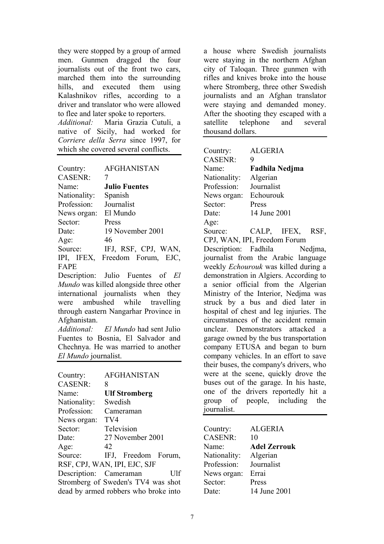they were stopped by a group of armed men. Gunmen dragged the four journalists out of the front two cars, marched them into the surrounding hills, and executed them using Kalashnikov rifles, according to a driver and translator who were allowed to flee and later spoke to reporters.

*Additional:* Maria Grazia Cutuli, a native of Sicily, had worked for *Corriere della Serra* since 1997, for which she covered several conflicts.

| Country:       | <b>AFGHANISTAN</b>   |
|----------------|----------------------|
| <b>CASENR:</b> | 7                    |
| Name:          | <b>Julio Fuentes</b> |
| Nationality:   | Spanish              |
| Profession:    | Journalist           |
| News organ:    | El Mundo             |
| Sector:        | Press                |
| Date:          | 19 November 2001     |
| Age:           | 46                   |
| Source:        | IFJ, RSF, CPJ, WAN,  |
| IPI, IFEX,     | Freedom Forum, EJC,  |
| FAPE           |                      |

Description: Julio Fuentes of *El Mundo* was killed alongside three other international journalists when they were ambushed while travelling through eastern Nangarhar Province in Afghanistan.

*Additional: El Mundo* had sent Julio Fuentes to Bosnia, El Salvador and Chechnya. He was married to another *El Mundo* journalist.

| Country:                             | <b>AFGHANISTAN</b>           |  |
|--------------------------------------|------------------------------|--|
| <b>CASENR:</b>                       | 8                            |  |
| Name <sup>-</sup>                    | <b>Ulf Stromberg</b>         |  |
| Nationality:                         | Swedish                      |  |
| Profession:                          | Cameraman                    |  |
| News organ:                          | TV4                          |  |
| Sector:                              | Television                   |  |
| Date:                                | 27 November 2001             |  |
| Age:                                 | 42                           |  |
| Source:                              | IFJ, Freedom Forum,          |  |
|                                      | RSF, CPJ, WAN, IPI, EJC, SJF |  |
| Description: Cameraman               | Ulf                          |  |
| Stromberg of Sweden's TV4 was shot   |                              |  |
| dead by armed robbers who broke into |                              |  |
|                                      |                              |  |

a house where Swedish journalists were staying in the northern Afghan city of Taloqan. Three gunmen with rifles and knives broke into the house where Stromberg, three other Swedish journalists and an Afghan translator were staying and demanded money. After the shooting they escaped with a satellite telephone and several thousand dollars.

| Country:                                | <b>ALGERIA</b>                         |  |
|-----------------------------------------|----------------------------------------|--|
| <b>CASENR:</b>                          | 9                                      |  |
| Name:                                   | <b>Fadhila Nedjma</b>                  |  |
| Nationality:                            | Algerian                               |  |
| Profession:                             | Journalist                             |  |
| News organ:                             | Echourouk                              |  |
| Sector:                                 | Press                                  |  |
| Date:                                   | 14 June 2001                           |  |
| Age:                                    |                                        |  |
| Source:                                 | CALP, IFEX,<br>RSF.                    |  |
|                                         | CPJ, WAN, IPI, Freedom Forum           |  |
|                                         | Description: Fadhila Nedjma,           |  |
|                                         | journalist from the Arabic language    |  |
|                                         | weekly Echourouk was killed during a   |  |
|                                         | demonstration in Algiers. According to |  |
|                                         | a senior official from the Algerian    |  |
| Ministry of the Interior, Nedjma was    |                                        |  |
| struck by a bus and died later in       |                                        |  |
| hospital of chest and leg injuries. The |                                        |  |
| circumstances of the accident remain    |                                        |  |
|                                         | unclear. Demonstrators attacked a      |  |
| garage owned by the bus transportation  |                                        |  |
| company ETUSA and began to burn         |                                        |  |
| company vehicles. In an effort to save  |                                        |  |
| their buses, the company's drivers, who |                                        |  |
|                                         | were at the scene, quickly drove the   |  |
|                                         | buses out of the garage. In his haste, |  |
|                                         | one of the drivers reportedly hit a    |  |
|                                         | group of people, including the         |  |
| journalist.                             |                                        |  |

| Country:       | <b>ALGERIA</b>      |
|----------------|---------------------|
| <b>CASENR:</b> | 10                  |
| Name:          | <b>Adel Zerrouk</b> |
| Nationality:   | Algerian            |
| Profession:    | Journalist          |
| News organ:    | Errai               |
| Sector:        | Press               |
| Date:          | 14 June 2001        |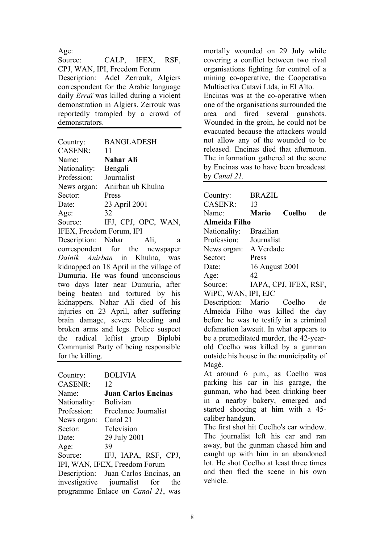Age:

Source: CALP, IFEX, RSF, CPJ, WAN, IPI, Freedom Forum Description: Adel Zerrouk, Algiers correspondent for the Arabic language daily *Erraï* was killed during a violent demonstration in Algiers. Zerrouk was reportedly trampled by a crowd of demonstrators.

| Country:                 | <b>BANGLADESH</b>   |
|--------------------------|---------------------|
| <b>CASENR:</b>           | 11                  |
| Name:                    | <b>Nahar Ali</b>    |
| Nationality:             | Bengali             |
| Profession:              | Journalist          |
| News organ:              | Anirban ub Khulna   |
| Sector:                  | Press               |
| Date:                    | 23 April 2001       |
| Age:                     | 32                  |
| Source:                  | IFJ, CPJ, OPC, WAN, |
| IFEX, Freedom Forum, IPI |                     |

Description: Nahar Ali, a correspondent for the newspaper *Dainik Anirban* in Khulna, was kidnapped on 18 April in the village of Dumuria. He was found unconscious two days later near Dumuria, after being beaten and tortured by his kidnappers. Nahar Ali died of his injuries on 23 April, after suffering brain damage, severe bleeding and broken arms and legs. Police suspect the radical leftist group Biplobi Communist Party of being responsible for the killing.

| Country:       | <b>BOLIVIA</b>                            |
|----------------|-------------------------------------------|
| <b>CASENR:</b> | 12                                        |
|                |                                           |
| Name:          | <b>Juan Carlos Encinas</b>                |
| Nationality:   | <b>Bolivian</b>                           |
| Profession:    | Freelance Journalist                      |
| News organ:    | Canal 21                                  |
| Sector:        | Television                                |
| Date:          | 29 July 2001                              |
| Age:           | 39                                        |
| Source:        | IFJ, IAPA, RSF, CPJ,                      |
|                | IPI, WAN, IFEX, Freedom Forum             |
|                | Description: Juan Carlos Encinas, an      |
|                | investigative journalist for the          |
|                | programme Enlace on <i>Canal 21</i> , was |

mortally wounded on 29 July while covering a conflict between two rival organisations fighting for control of a mining co-operative, the Cooperativa Multiactiva Catavi Ltda, in El Alto. Encinas was at the co-operative when one of the organisations surrounded the area and fired several gunshots. Wounded in the groin, he could not be evacuated because the attackers would

not allow any of the wounded to be released. Encinas died that afternoon. The information gathered at the scene by Encinas was to have been broadcast by *Canal 21.* 

| Country:                                 | <b>BRAZIL</b>    |                       |    |
|------------------------------------------|------------------|-----------------------|----|
| <b>CASENR:</b>                           | 13               |                       |    |
| Name:                                    | <b>Mario</b>     | Coelho                | de |
| <b>Almeida Filho</b>                     |                  |                       |    |
| Nationality:                             | <b>Brazilian</b> |                       |    |
| Profession:                              | Journalist       |                       |    |
| News organ: A Verdade                    |                  |                       |    |
| Sector:                                  | Press            |                       |    |
| Date:                                    | 16 August 2001   |                       |    |
| Age:                                     | 42               |                       |    |
| Source:                                  |                  | IAPA, CPJ, IFEX, RSF, |    |
| WiPC, WAN, IPI, EJC                      |                  |                       |    |
| Description: Mario Coelho                |                  |                       | de |
| Almeida Filho was killed the day         |                  |                       |    |
| before he was to testify in a criminal   |                  |                       |    |
| defamation lawsuit. In what appears to   |                  |                       |    |
| be a premeditated murder, the 42-year-   |                  |                       |    |
| old Coelho was killed by a gunman        |                  |                       |    |
| outside his house in the municipality of |                  |                       |    |
| Magé.                                    |                  |                       |    |
| At around 6 p.m., as Coelho was          |                  |                       |    |
| parking his car in his garage, the       |                  |                       |    |
| gunman, who had been drinking beer       |                  |                       |    |
| in a nearby bakery, emerged and          |                  |                       |    |
| started shooting at him with a 45-       |                  |                       |    |
| caliber handgun.                         |                  |                       |    |

The first shot hit Coelho's car window. The journalist left his car and ran away, but the gunman chased him and caught up with him in an abandoned lot. He shot Coelho at least three times and then fled the scene in his own vehicle.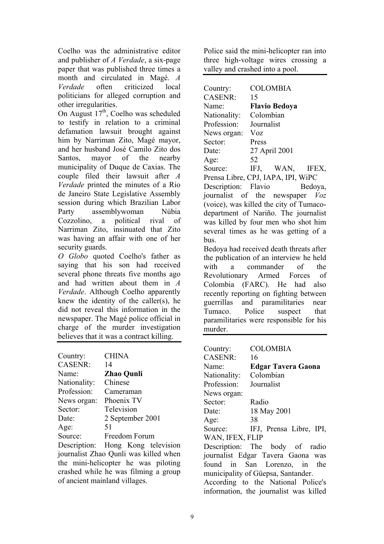Coelho was the administrative editor and publisher of *A Verdade*, a six-page paper that was published three times a month and circulated in Magé. *A Verdade* often criticized local politicians for alleged corruption and other irregularities.

On August  $17<sup>th</sup>$ , Coelho was scheduled to testify in relation to a criminal defamation lawsuit brought against him by Narriman Zito, Magé mayor, and her husband José Camilo Zito dos Santos, mayor of the nearby municipality of Duque de Caxias. The couple filed their lawsuit after *A Verdade* printed the minutes of a Rio de Janeiro State Legislative Assembly session during which Brazilian Labor Party assemblywoman Núbia Cozzolino, a political rival of Narriman Zito, insinuated that Zito was having an affair with one of her security guards.

*O Globo* quoted Coelho's father as saying that his son had received several phone threats five months ago and had written about them in *A Verdade*. Although Coelho apparently knew the identity of the caller(s), he did not reveal this information in the newspaper. The Magé police official in charge of the murder investigation believes that it was a contract killing.

| Country:       | <b>CHINA</b>      |
|----------------|-------------------|
| <b>CASENR:</b> | 14                |
| Name:          | <b>Zhao Qunli</b> |
| Nationality:   | Chinese           |
| Profession:    | Cameraman         |
| News organ:    | Phoenix TV        |
| Sector:        | Television        |
| Date:          | 2 September 2001  |
| Age:           | 51                |
| Source:        | Freedom Forum     |
|                |                   |

Description: Hong Kong television journalist Zhao Qunli was killed when the mini-helicopter he was piloting crashed while he was filming a group of ancient mainland villages.

Police said the mini-helicopter ran into three high-voltage wires crossing a valley and crashed into a pool.

| Country:            | <b>COLOMBIA</b>                    |
|---------------------|------------------------------------|
| <b>CASENR:</b>      | 15                                 |
| Name:               | <b>Flavio Bedoya</b>               |
| Nationality:        | Colombian                          |
| Profession:         | Journalist                         |
| News organ:         | <b>Voz</b>                         |
| Sector:             | Press                              |
| Date:               | 27 April 2001                      |
| Age:                | 52                                 |
| Source:             | IFJ, WAN, IFEX,                    |
|                     | Prensa Libre, CPJ, IAPA, IPI, WiPC |
| Description: Flavio | Bedoya,                            |
|                     | journalist of the newspaper Voz    |
|                     |                                    |

(voice), was killed the city of Tumacodepartment of Nariño. The journalist was killed by four men who shot him several times as he was getting of a bus.

Bedoya had received death threats after the publication of an interview he held with a commander of the Revolutionary Armed Forces of Colombia (FARC). He had also recently reporting on fighting between guerrillas and paramilitaries near Tumaco. Police suspect that paramilitaries were responsible for his murder.

| Country:        | <b>COLOMBIA</b>                        |
|-----------------|----------------------------------------|
| <b>CASENR:</b>  | 16                                     |
| Name:           | <b>Edgar Tavera Gaona</b>              |
| Nationality:    | Colombian                              |
| Profession:     | Journalist                             |
| News organ:     |                                        |
| Sector:         | Radio                                  |
| Date:           | 18 May 2001                            |
| Age:            | 38                                     |
| Source:         | IFJ, Prensa Libre, IPI,                |
| WAN, IFEX, FLIP |                                        |
|                 | Description: The body of radio         |
|                 | journalist Edgar Tavera Gaona was      |
|                 | found in San Lorenzo, in the           |
|                 | municipality of Güepsa, Santander.     |
|                 | According to the National Police's     |
|                 | information, the journalist was killed |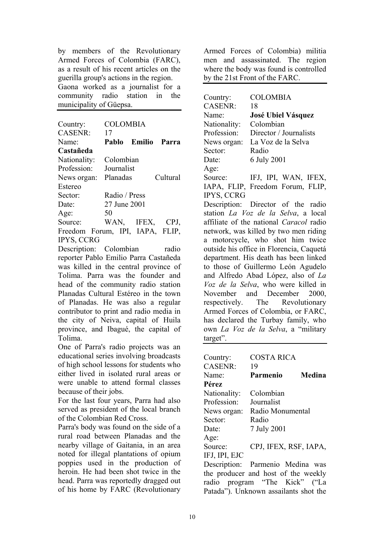by members of the Revolutionary Armed Forces of Colombia (FARC), as a result of his recent articles on the guerilla group's actions in the region. Gaona worked as a journalist for a community radio station in the municipality of Güepsa.

| Country:<br><b>CASENR:</b>      | COLOMBIA<br>17  |              |          |
|---------------------------------|-----------------|--------------|----------|
| Name:                           | Pablo           | Emilio Parra |          |
| Castañeda                       |                 |              |          |
| Nationality:                    | Colombian       |              |          |
| Profession:                     | Journalist      |              |          |
| News organ:                     | Planadas        |              | Cultural |
| Estereo                         |                 |              |          |
| Sector:                         | Radio / Press   |              |          |
| Date:                           | 27 June 2001    |              |          |
| Age:                            | 50              |              |          |
| Source:                         | WAN, IFEX, CPJ, |              |          |
| Freedom Forum, IPI, IAPA, FLIP, |                 |              |          |
| <b>IPYS, CCRG</b>               |                 |              |          |

Description: Colombian radio reporter Pablo Emilio Parra Castañeda was killed in the central province of Tolima. Parra was the founder and head of the community radio station Planadas Cultural Estéreo in the town of Planadas. He was also a regular contributor to print and radio media in the city of Neiva, capital of Huila province, and Ibagué, the capital of Tolima.

One of Parra's radio projects was an educational series involving broadcasts of high school lessons for students who either lived in isolated rural areas or were unable to attend formal classes because of their jobs.

For the last four years, Parra had also served as president of the local branch of the Colombian Red Cross.

Parra's body was found on the side of a rural road between Planadas and the nearby village of Gaitania, in an area noted for illegal plantations of opium poppies used in the production of heroin. He had been shot twice in the head. Parra was reportedly dragged out of his home by FARC (Revolutionary

Armed Forces of Colombia) militia men and assassinated. The region where the body was found is controlled by the 21st Front of the FARC.

Country: COLOMBIA CASENR: 18 Name: **José Ubiel Vásquez** Nationality: Colombian Profession: Director / Journalists News organ: La Voz de la Selva Sector: Radio Date: 6 July 2001  $A \rho e^T$ Source: IFJ, IPI, WAN, IFEX, IAPA, FLIP, Freedom Forum, FLIP, IPYS, CCRG Description: Director of the radio station *La Voz de la Selva*, a local affiliate of the national *Caracol* radio network, was killed by two men riding a motorcycle, who shot him twice outside his office in Florencia, Caquetá department. His death has been linked to those of Guillermo León Agudelo and Alfredo Abad López, also of *La Voz de la Selva*, who were killed in November and December 2000, respectively. The Revolutionary Armed Forces of Colombia, or FARC, has declared the Turbay family, who own *La Voz de la Selva*, a "military target".

| Country:       | <b>COSTA RICA</b>                     |        |
|----------------|---------------------------------------|--------|
| <b>CASENR:</b> | 19                                    |        |
| Name:          | Parmenio                              | Medina |
| Pérez          |                                       |        |
| Nationality:   | Colombian                             |        |
| Profession:    | Journalist                            |        |
| News organ:    | Radio Monumental                      |        |
| Sector:        | Radio                                 |        |
| Date:          | 7 July 2001                           |        |
| Age:           |                                       |        |
| Source:        | CPJ, IFEX, RSF, IAPA,                 |        |
| IFJ, IPI, EJC  |                                       |        |
|                | Description: Parmenio Medina was      |        |
|                | the producer and host of the weekly   |        |
|                | radio program "The Kick" ("La         |        |
|                | Patada"). Unknown assailants shot the |        |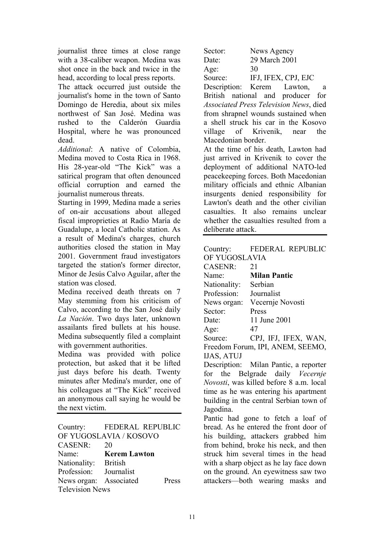journalist three times at close range with a 38-caliber weapon. Medina was shot once in the back and twice in the head, according to local press reports.

The attack occurred just outside the journalist's home in the town of Santo Domingo de Heredia, about six miles northwest of San José. Medina was rushed to the Calderón Guardia Hospital, where he was pronounced dead.

*Additional*: A native of Colombia, Medina moved to Costa Rica in 1968. His 28-year-old "The Kick" was a satirical program that often denounced official corruption and earned the journalist numerous threats.

Starting in 1999, Medina made a series of on-air accusations about alleged fiscal improprieties at Radio María de Guadalupe, a local Catholic station. As a result of Medina's charges, church authorities closed the station in May 2001. Government fraud investigators targeted the station's former director, Minor de Jesús Calvo Aguilar, after the station was closed.

Medina received death threats on 7 May stemming from his criticism of Calvo, according to the San José daily *La Nación*. Two days later, unknown assailants fired bullets at his house. Medina subsequently filed a complaint with government authorities.

Medina was provided with police protection, but asked that it be lifted just days before his death. Twenty minutes after Medina's murder, one of his colleagues at "The Kick" received an anonymous call saying he would be the next victim.

Country: FEDERAL REPUBLIC OF YUGOSLAVIA / KOSOVO CASENR: 20 Name: **Kerem Lawton** Nationality: British Profession: Journalist News organ: Associated Press Television News

| Sector: | News Agency         |
|---------|---------------------|
| Date:   | 29 March 2001       |
| Age:    | 30                  |
| Source: | IFJ, IFEX, CPJ, EJC |

Description: Kerem Lawton, a British national and producer for *Associated Press Television News*, died from shrapnel wounds sustained when a shell struck his car in the Kosovo village of Krivenik, near the Macedonian border.

At the time of his death, Lawton had just arrived in Krivenik to cover the deployment of additional NATO-led peacekeeping forces. Both Macedonian military officials and ethnic Albanian insurgents denied responsibility for Lawton's death and the other civilian casualties. It also remains unclear whether the casualties resulted from a deliberate attack.

| Country:                               | <b>FEDERAL REPUBLIC</b>                 |  |
|----------------------------------------|-----------------------------------------|--|
| OF YUGOSLAVIA                          |                                         |  |
| CASENR:                                | 21                                      |  |
| Name:                                  | <b>Milan Pantic</b>                     |  |
| Nationality: Serbian                   |                                         |  |
| Profession:                            | Journalist                              |  |
|                                        | News organ: Vecernie Novosti            |  |
| Sector:                                | Press                                   |  |
| Date:                                  | 11 June 2001                            |  |
| Age:                                   | 47                                      |  |
|                                        | Source: CPJ, IFJ, IFEX, WAN,            |  |
| Freedom Forum, IPI, ANEM, SEEMO,       |                                         |  |
| IJAS, ATUJ                             |                                         |  |
|                                        | Description: Milan Pantic, a reporter   |  |
|                                        | for the Belgrade daily Vecernje         |  |
|                                        | Novosti, was killed before 8 a.m. local |  |
|                                        | time as he was entering his apartment   |  |
|                                        | building in the central Serbian town of |  |
| Jagodina.                              |                                         |  |
|                                        | Pantic had gone to fetch a loaf of      |  |
| bread. As he entered the front door of |                                         |  |
|                                        |                                         |  |

his building, attackers grabbed him from behind, broke his neck, and then struck him several times in the head with a sharp object as he lay face down on the ground. An eyewitness saw two attackers—both wearing masks and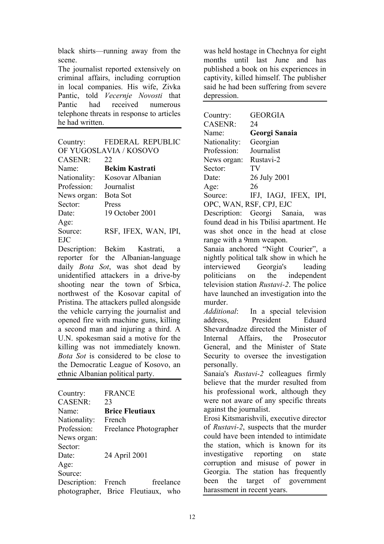black shirts—running away from the scene.

The journalist reported extensively on criminal affairs, including corruption in local companies. His wife, Zivka Pantic, told *Vecernje Novosti* that Pantic had received numerous telephone threats in response to articles he had written.

| Country:               | <b>FEDERAL REPUBLIC</b> |  |
|------------------------|-------------------------|--|
| OF YUGOSLAVIA / KOSOVO |                         |  |
| <b>CASENR:</b>         | 22                      |  |
| Name <sup>-</sup>      | <b>Bekim Kastrati</b>   |  |
| Nationality:           | Kosovar Albanian        |  |
| Profession:            | Journalist              |  |
| News organ:            | Bota Sot                |  |
| Sector:                | Press                   |  |
| Date:                  | 19 October 2001         |  |
| Age:                   |                         |  |
| Source:                | RSF, IFEX, WAN, IPI,    |  |
| <b>EJC</b>             |                         |  |

Description: Bekim Kastrati, a reporter for the Albanian-language daily *Bota Sot*, was shot dead by unidentified attackers in a drive-by shooting near the town of Srbica, northwest of the Kosovar capital of Pristina. The attackers pulled alongside the vehicle carrying the journalist and opened fire with machine guns, killing a second man and injuring a third. A U.N. spokesman said a motive for the killing was not immediately known. *Bota Sot* is considered to be close to the Democratic League of Kosovo, an ethnic Albanian political party.

| Country:            | <b>FRANCE</b>                      |
|---------------------|------------------------------------|
| <b>CASENR:</b>      | 23                                 |
| Name <sup>-</sup>   | <b>Brice Fleutiaux</b>             |
| Nationality:        | French                             |
| Profession:         | Freelance Photographer             |
| News organ:         |                                    |
| Sector:             |                                    |
| Date:               | 24 April 2001                      |
| Age:                |                                    |
| Source:             |                                    |
| Description: French | freelance                          |
|                     | photographer, Brice Fleutiaux, who |

was held hostage in Chechnya for eight months until last June and has published a book on his experiences in captivity, killed himself. The publisher said he had been suffering from severe depression.

| Country:                    | <b>GEORGIA</b>                                   |
|-----------------------------|--------------------------------------------------|
| <b>CASENR:</b>              | 24                                               |
| Name:                       | Georgi Sanaia                                    |
| Nationality:<br>Profession: | Georgian<br>Journalist                           |
|                             |                                                  |
| News organ:                 | Rustavi-2                                        |
| Sector:                     | TV                                               |
| Date:                       | 26 July 2001                                     |
| Age:                        | 26                                               |
| Source:                     | IFJ, IAGJ, IFEX, IPI,                            |
| OPC, WAN, RSF, CPJ, EJC     |                                                  |
|                             | Description: Georgi Sanaia, was                  |
|                             | found dead in his Tbilisi apartment. He          |
|                             | was shot once in the head at close               |
| range with a 9mm weapon.    |                                                  |
|                             | Sanaia anchored "Night Courier", a               |
|                             | nightly political talk show in which he          |
|                             | interviewed Georgia's leading                    |
|                             | politicians on the independent                   |
|                             | television station <i>Rustavi-2</i> . The police |
|                             | have launched an investigation into the          |
| murder.                     |                                                  |
|                             | Additional: In a special television              |
|                             | address, President Eduard                        |
|                             | Shevardnadze directed the Minister of            |
|                             | Internal Affairs, the Prosecutor                 |
|                             | General, and the Minister of State               |
|                             | Security to oversee the investigation            |
| personally.                 |                                                  |
|                             | Sanaia's Rustavi-2 colleagues firmly             |
|                             | believe that the murder resulted from            |
|                             | his professional work, although they             |
|                             | were not aware of any specific threats           |
| against the journalist.     |                                                  |
|                             | Erosi Kitsmarishvili, executive director         |
|                             | of Rustavi-2, suspects that the murder           |
|                             | could have been intended to intimidate           |
|                             | the station, which is known for its              |
|                             | investigative reporting on state                 |
|                             | corruption and misuse of power in                |
|                             | Georgia. The station has frequently              |
| been                        | the target of government                         |
|                             |                                                  |
| harassment in recent years. |                                                  |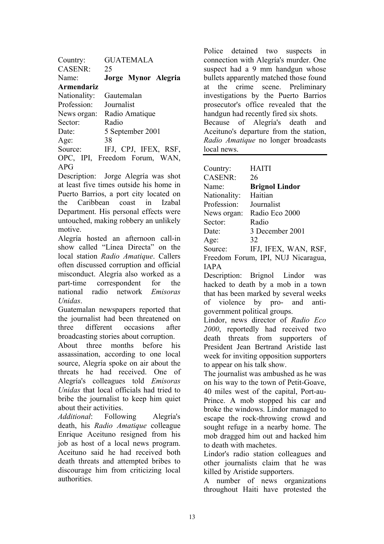| Country:          | <b>GUATEMALA</b>              |
|-------------------|-------------------------------|
| <b>CASENR:</b>    | 25                            |
| Name <sup>-</sup> | Jorge Mynor Alegria           |
| Armendariz        |                               |
| Nationality:      | Gautemalan                    |
| Profession:       | Journalist                    |
| News organ:       | Radio Amatique                |
| Sector:           | Radio                         |
| Date              | 5 September 2001              |
| Age:              | 38                            |
| Source:           | IFJ, CPJ, IFEX, RSF,          |
|                   | OPC, IPI, Freedom Forum, WAN, |
| APG               |                               |

Description: Jorge Alegría was shot at least five times outside his home in Puerto Barrios, a port city located on the Caribbean coast in Izabal Department. His personal effects were untouched, making robbery an unlikely motive.

Alegría hosted an afternoon call-in show called "Línea Directa" on the local station *Radio Amatique*. Callers often discussed corruption and official misconduct. Alegría also worked as a part-time correspondent for the national radio network *Emisoras Unidas*.

Guatemalan newspapers reported that the journalist had been threatened on three different occasions after broadcasting stories about corruption.

About three months before his assassination, according to one local source, Alegría spoke on air about the threats he had received. One of Alegría's colleagues told *Emisoras Unidas* that local officials had tried to bribe the journalist to keep him quiet about their activities.

*Additional*: Following Alegría's death, his *Radio Amatique* colleague Enrique Aceituno resigned from his job as host of a local news program. Aceituno said he had received both death threats and attempted bribes to discourage him from criticizing local authorities.

Police detained two suspects in connection with Alegría's murder. One suspect had a 9 mm handgun whose bullets apparently matched those found at the crime scene. Preliminary investigations by the Puerto Barrios prosecutor's office revealed that the handgun had recently fired six shots. Because of Alegría's death and Aceituno's departure from the station, *Radio Amatique* no longer broadcasts local news.

| Country:       | <b>HAITI</b>                       |
|----------------|------------------------------------|
| <b>CASENR:</b> | 26                                 |
| Name:          | <b>Brignol Lindor</b>              |
| Nationality:   | Haitian                            |
| Profession:    | Journalist                         |
| News organ:    | Radio Eco 2000                     |
| Sector:        | Radio                              |
| Date:          | 3 December 2001                    |
| Age:           | 32                                 |
| Source:        | IFJ, IFEX, WAN, RSF,               |
|                | Freedom Forum, IPI, NUJ Nicaragua, |
|                |                                    |

IAPA

Description: Brignol Lindor was hacked to death by a mob in a town that has been marked by several weeks of violence by pro- and antigovernment political groups.

Lindor, news director of *Radio Eco 2000*, reportedly had received two death threats from supporters of President Jean Bertrand Aristide last week for inviting opposition supporters to appear on his talk show.

The journalist was ambushed as he was on his way to the town of Petit-Goave, 40 miles west of the capital, Port-au-Prince. A mob stopped his car and broke the windows. Lindor managed to escape the rock-throwing crowd and sought refuge in a nearby home. The mob dragged him out and hacked him to death with machetes.

Lindor's radio station colleagues and other journalists claim that he was killed by Aristide supporters.

A number of news organizations throughout Haiti have protested the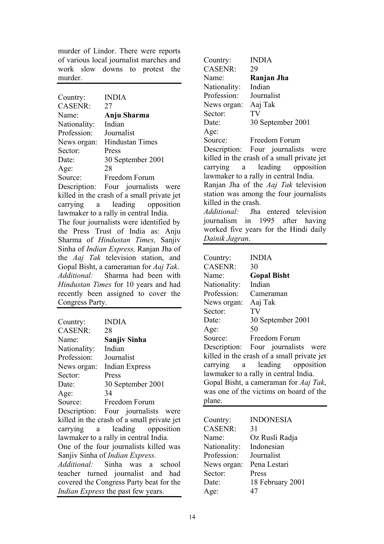murder of Lindor. There were reports of various local journalist marches and work slow downs to protest the murder.

| Country:        | <b>INDIA</b>                                   |
|-----------------|------------------------------------------------|
| CASENR:         | 27                                             |
| Name:           | Anju Sharma                                    |
| Nationality:    | Indian                                         |
| Profession:     | Journalist                                     |
| News organ:     | <b>Hindustan Times</b>                         |
| Sector:         | Press                                          |
| Date:           | 30 September 2001                              |
| Age:            | 28                                             |
|                 | Source: Freedom Forum                          |
|                 | Description: Four journalists were             |
|                 | killed in the crash of a small private jet     |
|                 | carrying a leading opposition                  |
|                 | lawmaker to a rally in central India.          |
|                 | The four journalists were identified by        |
|                 | the Press Trust of India as: Anju              |
|                 | Sharma of <i>Hindustan Times</i> , Sanjiv      |
|                 | Sinha of <i>Indian Express</i> , Ranjan Jha of |
|                 | the Aaj Tak television station, and            |
|                 | Gopal Bisht, a cameraman for Aaj Tak.          |
|                 | Additional: Sharma had been with               |
|                 | Hindustan Times for 10 years and had           |
|                 | recently been assigned to cover the            |
| Congress Party. |                                                |

| Country:                                | <b>INDIA</b>                               |  |
|-----------------------------------------|--------------------------------------------|--|
| CASENR:                                 | 28                                         |  |
| Name:                                   | Sanjiv Sinha                               |  |
| Nationality:                            | Indian                                     |  |
| Profession: Journalist                  |                                            |  |
| News organ:                             | <b>Indian Express</b>                      |  |
| Sector:                                 | Press                                      |  |
| Date:                                   | 30 September 2001                          |  |
| Age:                                    | 34                                         |  |
|                                         | Source: Freedom Forum                      |  |
|                                         | Description: Four journalists were         |  |
|                                         | killed in the crash of a small private jet |  |
|                                         | carrying a leading opposition              |  |
| lawmaker to a rally in central India.   |                                            |  |
| One of the four journalists killed was  |                                            |  |
| Sanjiv Sinha of <i>Indian Express</i> . |                                            |  |
|                                         | <i>Additional:</i> Sinha was a school      |  |
|                                         | teacher turned journalist and had          |  |
| covered the Congress Party beat for the |                                            |  |
|                                         | Indian Express the past few years.         |  |

Country: INDIA CASENR: 29 Name: **Ranjan Jha** Nationality: Indian Profession: Journalist News organ: Aaj Tak Sector: TV Date: 30 September 2001 Age: Source: Freedom Forum Description: Four journalists were killed in the crash of a small private jet carrying a leading opposition lawmaker to a rally in central India. Ranjan Jha of the *Aaj Tak* television station was among the four journalists killed in the crash. *Additional:* Jha entered television journalism in 1995 after having worked five years for the Hindi daily *Dainik Jagran*.

| Country:       | <b>INDIA</b>                               |
|----------------|--------------------------------------------|
| <b>CASENR:</b> | 30                                         |
| Name:          | <b>Gopal Bisht</b>                         |
| Nationality:   | Indian                                     |
| Profession:    | Cameraman                                  |
| News organ:    | Aaj Tak                                    |
| Sector:        | TV                                         |
| Date:          | 30 September 2001                          |
| Age:           | 50                                         |
| Source:        | Freedom Forum                              |
|                | Description: Four journalists were         |
|                | killed in the crash of a small private jet |
|                | carrying a leading opposition              |
|                | lawmaker to a rally in central India.      |
|                | Gopal Bisht, a cameraman for Aaj Tak,      |
|                | was one of the victims on board of the     |
| plane.         |                                            |

| Country:       | <b>INDONESIA</b> |
|----------------|------------------|
| <b>CASENR:</b> | 31               |
| Name:          | Oz Rusli Radja   |
| Nationality:   | Indonesian       |
| Profession:    | Journalist       |
| News organ:    | Pena Lestari     |
| Sector:        | Press            |
| Date:          | 18 February 2001 |
| Age:           | 47               |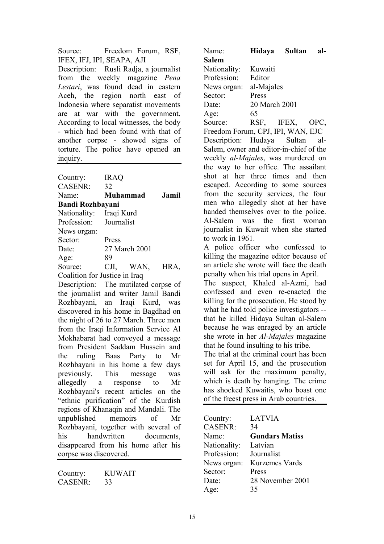Source: Freedom Forum, RSF, IFEX, IFJ, IPI, SEAPA, AJI Description: Rusli Radja, a journalist from the weekly magazine *Pena Lestari*, was found dead in eastern Aceh, the region north east of Indonesia where separatist movements are at war with the government. According to local witnesses, the body - which had been found with that of another corpse - showed signs of torture. The police have opened an inquiry.

| Country:                | <b>IRAQ</b>                   |       |
|-------------------------|-------------------------------|-------|
| <b>CASENR:</b>          | 32                            |       |
| Name:                   | <b>Muhammad</b>               | Jamil |
| <b>Bandi Rozhbayani</b> |                               |       |
| Nationality: Iraqi Kurd |                               |       |
| Profession: Journalist  |                               |       |
| News organ:             |                               |       |
| Sector:                 | Press                         |       |
| Date:                   | 27 March 2001                 |       |
| Age:                    | 89                            |       |
| Source:                 | CJI, WAN,                     | HRA,  |
|                         | Coalition for Justice in Iraq |       |

Description: The mutilated corpse of the journalist and writer Jamil Bandi Rozhbayani, an Iraqi Kurd, was discovered in his home in Bagdhad on the night of 26 to 27 March. Three men from the Iraqi Information Service Al Mokhabarat had conveyed a message from President Saddam Hussein and the ruling Baas Party to Mr Rozhbayani in his home a few days previously. This message was allegedly a response to Mr Rozhbayani's recent articles on the "ethnic purification" of the Kurdish regions of Khanaqin and Mandali. The unpublished memoirs of Mr Rozhbayani, together with several of his handwritten documents, disappeared from his home after his corpse was discovered.

| Country:       | <b>KUWAIT</b> |
|----------------|---------------|
| <b>CASENR:</b> | 33            |

| Name:                                    | Hidaya Sultan   | al- |
|------------------------------------------|-----------------|-----|
| <b>Salem</b>                             |                 |     |
| Nationality:                             | Kuwaiti         |     |
| Profession:                              | Editor          |     |
| News organ:                              | al-Majales      |     |
| Sector:                                  | Press           |     |
| Date:                                    | 20 March 2001   |     |
| Age:                                     | 65              |     |
| Source:                                  | RSF, IFEX, OPC, |     |
| Freedom Forum, CPJ, IPI, WAN, EJC        |                 |     |
| Description: Hudaya Sultan al-           |                 |     |
| Salem, owner and editor-in-chief of the  |                 |     |
| weekly al-Majales, was murdered on       |                 |     |
| the way to her office. The assailant     |                 |     |
| shot at her three times and then         |                 |     |
| escaped. According to some sources       |                 |     |
| from the security services, the four     |                 |     |
| men who allegedly shot at her have       |                 |     |
| handed themselves over to the police.    |                 |     |
| Al-Salem was the first woman             |                 |     |
| journalist in Kuwait when she started    |                 |     |
| to work in 1961.                         |                 |     |
| A police officer who confessed to        |                 |     |
| killing the magazine editor because of   |                 |     |
| an article she wrote will face the death |                 |     |
| penalty when his trial opens in April.   |                 |     |
| The suspect, Khaled al-Azmi, had         |                 |     |
| confessed and even re-enacted the        |                 |     |
| killing for the prosecution He stood by  |                 |     |

killing for the prosecution. He stood by what he had told police investigators -that he killed Hidaya Sultan al-Salem because he was enraged by an article she wrote in her *Al-Majales* magazine that he found insulting to his tribe.

The trial at the criminal court has been set for April 15, and the prosecution will ask for the maximum penalty, which is death by hanging. The crime has shocked Kuwaitis, who boast one of the freest press in Arab countries.

| Country:       | <b>LATVIA</b>         |
|----------------|-----------------------|
| <b>CASENR:</b> | 34                    |
| Name:          | <b>Gundars Matiss</b> |
| Nationality:   | Latvian               |
| Profession:    | Journalist            |
| News organ:    | <b>Kurzemes Vards</b> |
| Sector:        | Press                 |
| Date:          | 28 November 2001      |
| Age:           | 35                    |
|                |                       |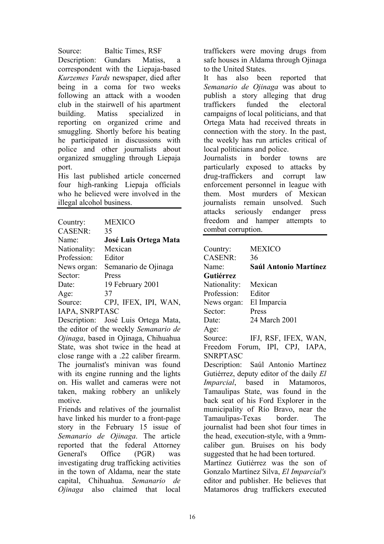Source: Baltic Times, RSF Description: Gundars Matiss, a correspondent with the Liepaja-based *Kurzemes Vards* newspaper, died after being in a coma for two weeks following an attack with a wooden club in the stairwell of his apartment building. Matiss specialized in reporting on organized crime and smuggling. Shortly before his beating he participated in discussions with police and other journalists about organized smuggling through Liepaja port.

His last published article concerned four high-ranking Liepaja officials who he believed were involved in the illegal alcohol business.

| Country:              | <b>MEXICO</b>                |
|-----------------------|------------------------------|
| <b>CASENR:</b>        | 35                           |
| Name:                 | <b>José Luis Ortega Mata</b> |
| Nationality:          | Mexican                      |
| Profession:           | Editor                       |
| News organ:           | Semanario de Ojinaga         |
| Sector:               | Press                        |
| Date:                 | 19 February 2001             |
| Age:                  | 37                           |
| Source:               | CPJ, IFEX, IPI, WAN,         |
| <b>IAPA, SNRPTASC</b> |                              |

Description: José Luis Ortega Mata, the editor of the weekly *Semanario de Ojinaga*, based in Ojinaga, Chihuahua State, was shot twice in the head at close range with a .22 caliber firearm. The journalist's minivan was found with its engine running and the lights on. His wallet and cameras were not taken, making robbery an unlikely motive.

Friends and relatives of the journalist have linked his murder to a front-page story in the February 15 issue of *Semanario de Ojinaga*. The article reported that the federal Attorney General's Office (PGR) was investigating drug trafficking activities in the town of Aldama, near the state capital, Chihuahua. *Semanario de Ojinaga* also claimed that local

traffickers were moving drugs from safe houses in Aldama through Ojinaga to the United States.

It has also been reported that *Semanario de Ojinaga* was about to publish a story alleging that drug traffickers funded the electoral campaigns of local politicians, and that Ortega Mata had received threats in connection with the story. In the past, the weekly has run articles critical of local politicians and police.

Journalists in border towns are particularly exposed to attacks by drug-traffickers and corrupt law enforcement personnel in league with them. Most murders of Mexican journalists remain unsolved. Such attacks seriously endanger press freedom and hamper attempts to combat corruption.

| <b>MEXICO</b>                            |  |  |
|------------------------------------------|--|--|
| 36                                       |  |  |
| Saúl Antonio Martínez                    |  |  |
|                                          |  |  |
| Mexican                                  |  |  |
| Editor                                   |  |  |
| News organ:<br>El Imparcia               |  |  |
| Press                                    |  |  |
| 24 March 2001                            |  |  |
|                                          |  |  |
| IFJ, RSF, IFEX, WAN,                     |  |  |
| Freedom Forum, IPI, CPJ, IAPA,           |  |  |
|                                          |  |  |
| Description: Saúl Antonio Martínez       |  |  |
| Gutiérrez, deputy editor of the daily El |  |  |
| Imparcial, based in Matamoros,           |  |  |
| Tamaulipas State, was found in the       |  |  |
| back seat of his Ford Explorer in the    |  |  |
| municipality of Río Bravo, near the      |  |  |
| Tamaulipas-Texas border. The             |  |  |
| journalist had been shot four times in   |  |  |
| the head, execution-style, with a 9mm-   |  |  |
| caliber gun. Bruises on his body         |  |  |
| suggested that he had been tortured.     |  |  |
| Martínez Gutiérrez was the son of        |  |  |
| Gonzalo Martínez Silva, El Imparcial's   |  |  |
| editor and publisher. He believes that   |  |  |
| Matamoros drug traffickers executed      |  |  |
|                                          |  |  |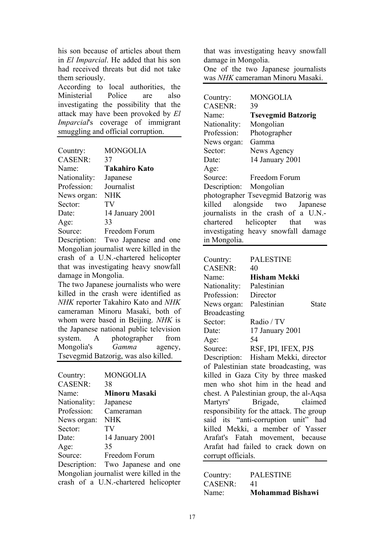his son because of articles about them in *El Imparcial*. He added that his son had received threats but did not take them seriously.

According to local authorities, the Ministerial Police are also investigating the possibility that the attack may have been provoked by *El Imparcial*'s coverage of immigrant smuggling and official corruption.

| Country:       | <b>MONGOLIA</b>      |
|----------------|----------------------|
| <b>CASENR:</b> | 37                   |
| Name:          | <b>Takahiro Kato</b> |
| Nationality:   | Japanese             |
| Profession:    | Journalist           |
| News organ:    | <b>NHK</b>           |
| Sector:        | TV                   |
| Date:          | 14 January 2001      |
| Age:           | 33                   |
| Source:        | Freedom Forum        |

Description: Two Japanese and one Mongolian journalist were killed in the crash of a U.N.-chartered helicopter that was investigating heavy snowfall damage in Mongolia.

The two Japanese journalists who were killed in the crash were identified as *NHK* reporter Takahiro Kato and *NHK* cameraman Minoru Masaki, both of whom were based in Beijing. *NHK* is the Japanese national public television system. A photographer from Mongolia's *Gamma* agency, Tsevegmid Batzorig, was also killed.

| Country:       | <b>MONGOLIA</b>                         |
|----------------|-----------------------------------------|
| <b>CASENR:</b> | 38                                      |
| Name:          | <b>Minoru Masaki</b>                    |
| Nationality:   | Japanese                                |
| Profession:    | Cameraman                               |
| News organ:    | <b>NHK</b>                              |
| Sector:        | TV                                      |
| Date:          | 14 January 2001                         |
| Age:           | 35                                      |
| Source:        | Freedom Forum                           |
|                | Description: Two Japanese and one       |
|                | Mongolian journalist were killed in the |
|                | crash of a U.N.-chartered helicopter    |

that was investigating heavy snowfall damage in Mongolia.

One of the two Japanese journalists was *NHK* cameraman Minoru Masaki.

Country: MONGOLIA CASENR: 39 Name: **Tsevegmid Batzorig** Nationality: Mongolian Profession: Photographer News organ: Gamma Sector: News Agency Date: 14 January 2001 Age: Source: Freedom Forum Description: Mongolian photographer Tsevegmid Batzorig was killed alongside two Japanese journalists in the crash of a U.N. chartered helicopter that was investigating heavy snowfall damage in Mongolia.

| Country:                                 | <b>PALESTINE</b>                    |  |
|------------------------------------------|-------------------------------------|--|
| CASENR:                                  | 40                                  |  |
| Name:                                    | <b>Hisham Mekki</b>                 |  |
| Nationality:                             | Palestinian                         |  |
| Profession: Director                     |                                     |  |
| News organ:                              | Palestinian<br>State                |  |
| <b>Broadcasting</b>                      |                                     |  |
| Sector:                                  | Radio / TV                          |  |
| Date:                                    | 17 January 2001                     |  |
| Age:                                     | 54                                  |  |
|                                          | Source: RSF, IPI, IFEX, PJS         |  |
|                                          | Description: Hisham Mekki, director |  |
| of Palestinian state broadcasting, was   |                                     |  |
| killed in Gaza City by three masked      |                                     |  |
| men who shot him in the head and         |                                     |  |
| chest. A Palestinian group, the al-Aqsa  |                                     |  |
|                                          | Martyrs' Brigade, claimed           |  |
| responsibility for the attack. The group |                                     |  |
| said its "anti-corruption unit" had      |                                     |  |
| killed Mekki, a member of Yasser         |                                     |  |
| Arafat's Fatah movement, because         |                                     |  |
| Arafat had failed to crack down on       |                                     |  |
| corrupt officials.                       |                                     |  |

| Country: | <b>PALESTINE</b>        |
|----------|-------------------------|
| CASENR:  | 41                      |
| Name:    | <b>Mohammad Bishawi</b> |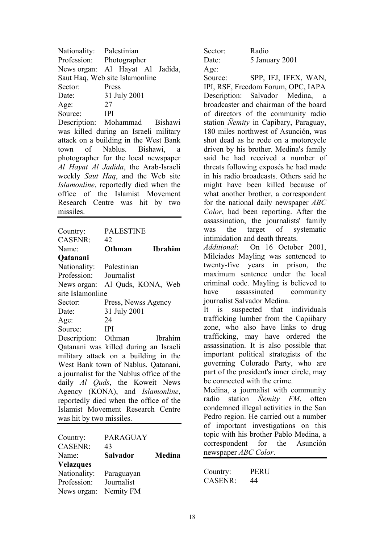| Nationality: Palestinian       |                                 |  |  |
|--------------------------------|---------------------------------|--|--|
| Profession: Photographer       |                                 |  |  |
|                                | News organ: Al Hayat Al Jadida, |  |  |
| Saut Haq, Web site Islamonline |                                 |  |  |
| Sector:                        | Press                           |  |  |
| Date:                          | 31 July 2001                    |  |  |
| Age:                           | 27                              |  |  |
| Source:                        | <b>IPI</b>                      |  |  |

Description: Mohammad Bishawi was killed during an Israeli military attack on a building in the West Bank town of Nablus. Bishawi, a photographer for the local newspaper *Al Hayat Al Jadida*, the Arab-Israeli weekly *Saut Haq*, and the Web site *Islamonline*, reportedly died when the office of the Islamist Movement Research Centre was hit by two missiles.

| Country:                                  | <b>PALESTINE</b>    |                |
|-------------------------------------------|---------------------|----------------|
| CASENR:                                   | 42                  |                |
| Name:                                     | Othman              | <b>Ibrahim</b> |
| <b>Qatanani</b>                           |                     |                |
| Nationality: Palestinian                  |                     |                |
| Profession: Journalist                    |                     |                |
| News organ: Al Quds, KONA, Web            |                     |                |
| site Islamonline                          |                     |                |
| Sector:                                   | Press, Newss Agency |                |
| Date:                                     | 31 July 2001        |                |
| Age:                                      | 24                  |                |
| <b>IPI</b><br>Source:                     |                     |                |
| Description: Othman                       |                     | <b>Ibrahim</b> |
| Qatanani was killed during an Israeli     |                     |                |
| military attack on a building in the      |                     |                |
| West Bank town of Nablus. Qatanani,       |                     |                |
| a journalist for the Nablus office of the |                     |                |
| daily Al Quds, the Koweit News            |                     |                |
| Agency (KONA), and Islamonline,           |                     |                |
| reportedly died when the office of the    |                     |                |
| Islamist Movement Research Centre         |                     |                |
| was hit by two missiles.                  |                     |                |

| Country:<br><b>CASENR:</b> | <b>PARAGUAY</b><br>43 |        |
|----------------------------|-----------------------|--------|
| Name:                      | <b>Salvador</b>       | Medina |
| <b>Velazques</b>           |                       |        |
| Nationality:               | Paraguayan            |        |
| Profession:                | Journalist            |        |
| News organ:                | Nemity FM             |        |

Sector: Radio Age:

Date: 5 January 2001 Source: SPP, IFJ, IFEX, WAN, IPI, RSF, Freedom Forum, OPC, IAPA

Description: Salvador Medina, a broadcaster and chairman of the board of directors of the community radio station *Ñemity* in Capibary, Paraguay, 180 miles northwest of Asunción, was shot dead as he rode on a motorcycle driven by his brother. Medina's family said he had received a number of threats following exposés he had made in his radio broadcasts. Others said he might have been killed because of what another brother, a correspondent for the national daily newspaper *ABC Color*, had been reporting. After the assassination, the journalists' family was the target of systematic intimidation and death threats.

*Additional*: On 16 October 2001, Milcíades Mayling was sentenced to twenty-five years in prison, the maximum sentence under the local criminal code. Mayling is believed to have assassinated community journalist Salvador Medina.

It is suspected that individuals trafficking lumber from the Capiibary zone, who also have links to drug trafficking, may have ordered the assassination. It is also possible that important political strategists of the governing Colorado Party, who are part of the president's inner circle, may be connected with the crime.

Medina, a journalist with community radio station *Ñemity FM*, often condemned illegal activities in the San Pedro region. He carried out a number of important investigations on this topic with his brother Pablo Medina, a correspondent for the Asunción newspaper *ABC Color*.

| Country:       | <b>PERU</b> |
|----------------|-------------|
| <b>CASENR:</b> | 44          |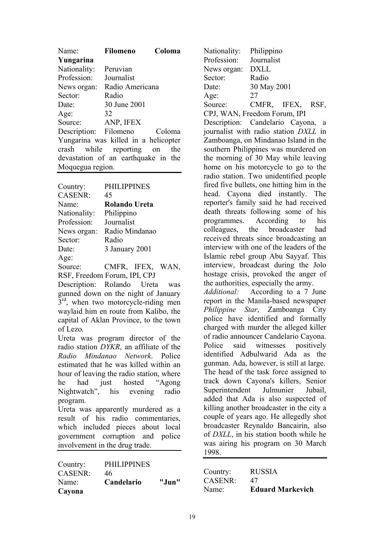| Name:                                | <b>Filomeno</b>    | Coloma |  |
|--------------------------------------|--------------------|--------|--|
| Yungarina                            |                    |        |  |
| Nationality:                         | Peruvian           |        |  |
| Profession:                          | Journalist         |        |  |
| News organ:                          | Radio Americana    |        |  |
| Sector:                              | Radio              |        |  |
| Date:                                | 30 June 2001       |        |  |
| Age:                                 | 32                 |        |  |
| Source:                              | ANP, IFEX          |        |  |
| Description: Filomeno                |                    | Coloma |  |
| Yungarina was killed in a helicopter |                    |        |  |
| crash                                | while reporting on | the    |  |
| devastation of an earthquake in the  |                    |        |  |
| Moquegua region.                     |                    |        |  |
|                                      |                    |        |  |

| Country:       | <b>PHILIPPINES</b> |
|----------------|--------------------|
| <b>CASENR:</b> | 45                 |
| Name:          | Rolando Ureta      |
| Nationality:   | Philippino         |
| Profession:    | Journalist         |
| News organ:    | Radio Mindanao     |
| Sector:        | Radio              |
| Date:          | 3 January 2001     |
| Age:           |                    |
|                |                    |

Source: CMFR, IFEX, WAN, RSF, Freedom Forum, IPI, CPJ

Description: Rolando Ureta was gunned down on the night of January  $3<sup>rd</sup>$ , when two motorcycle-riding men waylaid him en route from Kalibo, the capital of Aklan Province, to the town of Lezo.

Ureta was program director of the radio station *DYKR*, an affiliate of the *Radio Mindanao Network*. Police estimated that he was killed within an hour of leaving the radio station, where he had just hosted "Agong Nightwatch", his evening radio program.

Ureta was apparently murdered as a result of his radio commentaries, which included pieces about local government corruption and police involvement in the drug trade.

| Country:       | <b>PHILIPPINES</b> |       |
|----------------|--------------------|-------|
| <b>CASENR:</b> | 46                 |       |
| Name:          | Candelario         | "Jun" |
| Cayona         |                    |       |

Nationality: Philippino Profession: Journalist News organ: DXLL Sector: Radio Date: 30 May 2001 Age: 27 Source: CMFR, IFEX, RSF, CPJ, WAN, Freedom Forum, IPI Description: Candelario Cayona, a journalist with radio station *DXLL* in Zamboanga, on Mindanao Island in the southern Philippines was murdered on the morning of 30 May while leaving home on his motorcycle to go to the radio station. Two unidentified people fired five bullets, one hitting him in the head. Cayona died instantly. The reporter's family said he had received death threats following some of his programmes. According to his colleagues, the broadcaster had received threats since broadcasting an interview with one of the leaders of the Islamic rebel group Abu Sayyaf. This interview, broadcast during the Jolo hostage crisis, provoked the anger of the authorities, especially the army. *Additional:* According to a 7 June report in the Manila-based newspaper *Philippine Star*, Zamboanga City police have identified and formally charged with murder the alleged killer of radio announcer Candelario Cayona. Police said witnesses positively identified Adbulwarid Ada as the gunman. Ada, however, is still at large. The head of the task force assigned to track down Cayona's killers, Senior Superintendent Julmunier Jubail, added that Ada is also suspected of killing another broadcaster in the city a couple of years ago. He allegedly shot broadcaster Reynaldo Bancairin, also of *DXLL*, in his station booth while he was airing his program on 30 March 1998.

| Country: | <b>RUSSIA</b>           |
|----------|-------------------------|
| CASENR:  | 47                      |
| Name:    | <b>Eduard Markevich</b> |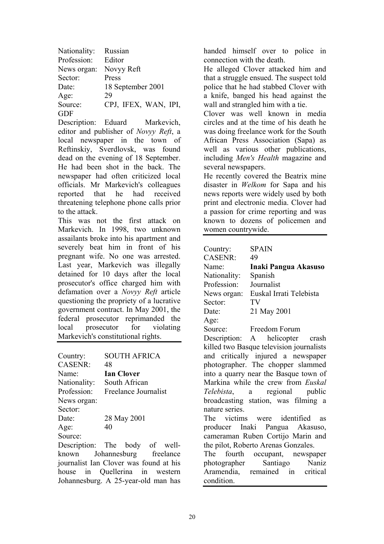| Nationality: | Russian              |
|--------------|----------------------|
| Profession:  | Editor               |
| News organ:  | Novyy Reft           |
| Sector:      | Press                |
| Date:        | 18 September 2001    |
| Age:         | 29                   |
| Source:      | CPJ, IFEX, WAN, IPI, |
| GDF          |                      |

Description: Eduard Markevich, editor and publisher of *Novyy Reft*, a local newspaper in the town of Reftinskiy, Sverdlovsk, was found dead on the evening of 18 September. He had been shot in the back. The newspaper had often criticized local officials. Mr Markevich's colleagues reported that he had received threatening telephone phone calls prior to the attack.

This was not the first attack on Markevich. In 1998, two unknown assailants broke into his apartment and severely beat him in front of his pregnant wife. No one was arrested. Last year, Markevich was illegally detained for 10 days after the local prosecutor's office charged him with defamation over a *Novyy Reft* article questioning the propriety of a lucrative government contract. In May 2001, the federal prosecutor reprimanded the local prosecutor for violating Markevich's constitutional rights.

| Country:          | <b>SOUTH AFRICA</b>  |
|-------------------|----------------------|
| <b>CASENR:</b>    | 48                   |
| Name <sup>-</sup> | <b>Ian Clover</b>    |
| Nationality:      | South African        |
| Profession:       | Freelance Journalist |
| News organ:       |                      |
| Sector:           |                      |
| Date:             | 28 May 2001          |
| Age:              | 40                   |
| Source:           |                      |

Description: The body of wellknown Johannesburg freelance journalist Ian Clover was found at his house in Quellerina in western Johannesburg. A 25-year-old man has handed himself over to police in connection with the death.

He alleged Clover attacked him and that a struggle ensued. The suspect told police that he had stabbed Clover with a knife, banged his head against the wall and strangled him with a tie.

Clover was well known in media circles and at the time of his death he was doing freelance work for the South African Press Association (Sapa) as well as various other publications, including *Men's Health* magazine and several newspapers.

He recently covered the Beatrix mine disaster in *Welkom* for Sapa and his news reports were widely used by both print and electronic media. Clover had a passion for crime reporting and was known to dozens of policemen and women countrywide.

| Country:       | SPAIN                                    |
|----------------|------------------------------------------|
| CASENR:        | 49                                       |
| Name:          | Inaki Pangua Akasuso                     |
| Nationality:   | Spanish                                  |
| Profession:    | Journalist                               |
| News organ:    | Euskal Irrati Telebista                  |
| Sector:        | TV                                       |
| Date:          | 21 May 2001                              |
| Age:           |                                          |
| Source:        | Freedom Forum                            |
|                | Description: A helicopter crash          |
|                | killed two Basque television journalists |
|                | and critically injured a newspaper       |
|                | photographer. The chopper slammed        |
|                | into a quarry near the Basque town of    |
|                | Markina while the crew from Euskal       |
|                | <i>Telebista</i> , a regional public     |
|                | broadcasting station, was filming a      |
| nature series. |                                          |
|                | The victims were identified as           |
|                |                                          |
|                | producer Inaki Pangua Akasuso,           |
|                | cameraman Ruben Cortijo Marin and        |
|                | the pilot, Roberto Arenas Gonzales.      |
|                | The fourth occupant newspaper            |

fourth photographer Santiago Naniz Aramendia, remained in critical condition.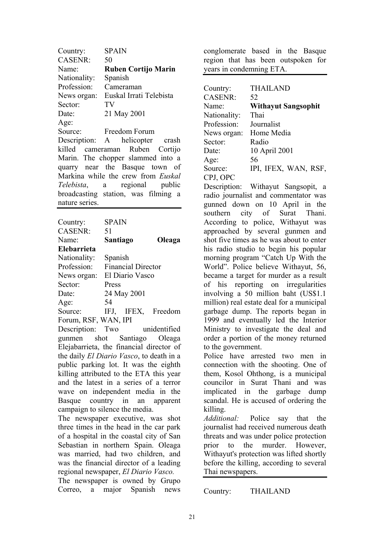| Country:          | <b>SPAIN</b>                         |
|-------------------|--------------------------------------|
| <b>CASENR:</b>    | 50                                   |
| Name <sup>-</sup> | <b>Ruben Cortijo Marin</b>           |
| Nationality:      | Spanish                              |
| Profession:       | Cameraman                            |
| News organ:       | Euskal Irrati Telebista              |
| Sector:           | TV                                   |
| Date:             | 21 May 2001                          |
| Age:              |                                      |
| Source:           | Freedom Forum                        |
|                   | Description: A helicopter crash      |
|                   | killed cameraman Ruben Cortijo       |
|                   | Marin. The chopper slammed into a    |
|                   | quarry near the Basque town of       |
|                   | Markina while the crew from Euskal   |
|                   | <i>Telebista</i> , a regional public |
|                   | broadcasting station, was filming a  |
| nature series.    |                                      |
|                   |                                      |

| Country:             | <b>SPAIN</b> |                           |               |
|----------------------|--------------|---------------------------|---------------|
| <b>CASENR:</b>       | 51           |                           |               |
| Name <sup>-</sup>    | Santiago     |                           | Oleaga        |
| Elebarrieta          |              |                           |               |
| Nationality:         | Spanish      |                           |               |
| Profession:          |              | <b>Financial Director</b> |               |
| News organ:          |              | El Diario Vasco           |               |
| Sector:              | Press        |                           |               |
| Date:                |              | 24 May 2001               |               |
| Age:                 | 54           |                           |               |
| Source:              | IFJ,         |                           | IFEX, Freedom |
| Forum, RSF, WAN, IPI |              |                           |               |

Description: Two unidentified gunmen shot Santiago Oleaga Elejabarrieta, the financial director of the daily *El Diario Vasco*, to death in a public parking lot. It was the eighth killing attributed to the ETA this year and the latest in a series of a terror wave on independent media in the Basque country in an apparent campaign to silence the media.

The newspaper executive, was shot three times in the head in the car park of a hospital in the coastal city of San Sebastian in northern Spain. Oleaga was married, had two children, and was the financial director of a leading regional newspaper, *El Diario Vasco.*

The newspaper is owned by Grupo Correo, a major Spanish news conglomerate based in the Basque region that has been outspoken for years in condemning ETA.

| Country:       | <b>THAILAND</b>            |
|----------------|----------------------------|
| <b>CASENR:</b> | 52                         |
| Name:          | <b>Withayut Sangsophit</b> |
| Nationality:   | Thai                       |
| Profession:    | Journalist                 |
| News organ:    | Home Media                 |
| Sector:        | Radio                      |
| Date:          | 10 April 2001              |
| Age:           | 56                         |
| Source:        | IPI, IFEX, WAN, RSF,       |
| CPJ, OPC       |                            |

Description: Withayut Sangsopit, a radio journalist and commentator was gunned down on 10 April in the southern city of Surat Thani. According to police, Withayut was approached by several gunmen and shot five times as he was about to enter his radio studio to begin his popular morning program "Catch Up With the World". Police believe Withayut, 56, became a target for murder as a result of his reporting on irregularities involving a 50 million baht (US\$1.1 million) real estate deal for a municipal garbage dump. The reports began in 1999 and eventually led the Interior Ministry to investigate the deal and order a portion of the money returned to the government.

Police have arrested two men in connection with the shooting. One of them, Kosol Ohthong, is a municipal councilor in Surat Thani and was implicated in the garbage dump scandal. He is accused of ordering the killing.

*Additional:* Police say that the journalist had received numerous death threats and was under police protection prior to the murder. However, Withayut's protection was lifted shortly before the killing, according to several Thai newspapers.

Country: THAILAND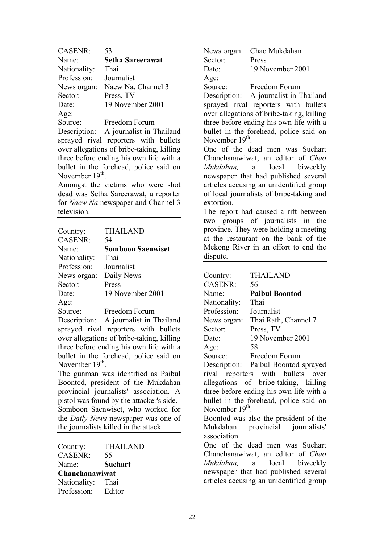| <b>CASENR:</b> | 53                      |
|----------------|-------------------------|
| Name:          | <b>Setha Sareerawat</b> |
| Nationality:   | Thai                    |
| Profession:    | Journalist              |
| News organ:    | Naew Na, Channel 3      |
| Sector:        | Press, TV               |
| Date:          | 19 November 2001        |
| Age:           |                         |
| Source:        | Freedom Forum           |

Description: A journalist in Thailand sprayed rival reporters with bullets over allegations of bribe-taking, killing three before ending his own life with a bullet in the forehead, police said on November 19<sup>th</sup>

Amongst the victims who were shot dead was Setha Sareerawat, a reporter for *Naew Na* newspaper and Channel 3 television.

| Country:       | <b>THAILAND</b>          |
|----------------|--------------------------|
| <b>CASENR:</b> | 54                       |
| Name:          | <b>Somboon Saenwiset</b> |
| Nationality:   | Thai                     |
| Profession:    | Journalist               |
| News organ:    | Daily News               |
| Sector:        | Press                    |
| Date:          | 19 November 2001         |
| Age:           |                          |
| Source:        | Freedom Forum            |

Description: A journalist in Thailand sprayed rival reporters with bullets over allegations of bribe-taking, killing three before ending his own life with a bullet in the forehead, police said on November 19<sup>th</sup>

The gunman was identified as Paibul Boontod, president of the Mukdahan provincial journalists' association. A pistol was found by the attacker's side. Somboon Saenwiset, who worked for the *Daily News* newspaper was one of the journalists killed in the attack.

| <b>THAILAND</b> |
|-----------------|
| 55              |
| <b>Suchart</b>  |
| Chanchanawiwat  |
| Thai            |
| Editor          |
|                 |

News organ: Chao Mukdahan Sector: Press Date: 19 November 2001 Age: Source: Freedom Forum

Description: A journalist in Thailand sprayed rival reporters with bullets over allegations of bribe-taking, killing three before ending his own life with a bullet in the forehead, police said on November 19<sup>th</sup>

One of the dead men was Suchart Chanchanawiwat, an editor of *Chao Mukdahan,* a local biweekly newspaper that had published several articles accusing an unidentified group of local journalists of bribe-taking and extortion.

The report had caused a rift between two groups of journalists in the province. They were holding a meeting at the restaurant on the bank of the Mekong River in an effort to end the dispute.

| Country:                    | <b>THAILAND</b>                         |
|-----------------------------|-----------------------------------------|
| <b>CASENR:</b>              | 56                                      |
| Name:                       | <b>Paibul Boontod</b>                   |
| Nationality:                | Thai                                    |
| Profession:                 | Journalist                              |
| News organ:                 | Thai Rath, Channel 7                    |
| Sector:                     | Press, TV                               |
| Date:                       | 19 November 2001                        |
| Age:                        | 58                                      |
| Source:                     | Freedom Forum                           |
|                             | Description: Paibul Boontod sprayed     |
|                             | rival reporters with bullets over       |
|                             | allegations of bribe-taking, killing    |
|                             | three before ending his own life with a |
|                             | bullet in the forehead, police said on  |
| November 19 <sup>th</sup> . |                                         |
|                             | Boontod was also the president of the   |
|                             | Mukdahan provincial journalists'        |
| association.                |                                         |
|                             | One of the dead men was Suchart         |
|                             | Chanchanawiwat, an editor of Chao       |
|                             | Mukdahan, a local biweekly              |
|                             | newspaper that had published several    |
|                             | articles accusing an unidentified group |
|                             |                                         |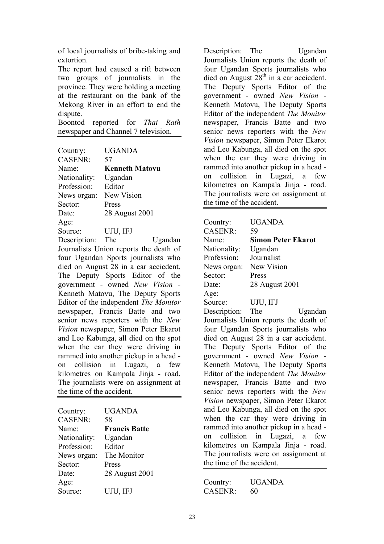of local journalists of bribe-taking and extortion.

The report had caused a rift between two groups of journalists in the province. They were holding a meeting at the restaurant on the bank of the Mekong River in an effort to end the dispute.

Boontod reported for *Thai Rath* newspaper and Channel 7 television.

| Country:       | UGANDA                |
|----------------|-----------------------|
| <b>CASENR:</b> | 57                    |
| Name:          | <b>Kenneth Matovu</b> |
| Nationality:   | Ugandan               |
| Profession:    | Editor                |
| News organ:    | New Vision            |
| Sector:        | Press                 |
| Date:          | 28 August 2001        |
| Age:           |                       |
| Source:        | UJU, IFJ              |
|                |                       |

Description: The Ugandan Journalists Union reports the death of four Ugandan Sports journalists who died on August 28 in a car accicdent. The Deputy Sports Editor of the government - owned *New Vision* - Kenneth Matovu, The Deputy Sports Editor of the independent *The Monitor* newspaper, Francis Batte and two senior news reporters with the *New Vision* newspaper, Simon Peter Ekarot and Leo Kabunga, all died on the spot when the car they were driving in rammed into another pickup in a head on collision in Lugazi, a few kilometres on Kampala Jinja - road. The journalists were on assignment at the time of the accident.

| Country:       | UGANDA               |
|----------------|----------------------|
| <b>CASENR:</b> | 58                   |
| Name:          | <b>Francis Batte</b> |
| Nationality:   | Ugandan              |
| Profession:    | Editor               |
| News organ:    | The Monitor          |
| Sector:        | Press                |
| Date:          | 28 August 2001       |
| Age:           |                      |
| Source:        | UJU, IFJ             |

Description: The Ugandan Journalists Union reports the death of four Ugandan Sports journalists who died on August  $28<sup>th</sup>$  in a car accicdent. The Deputy Sports Editor of the government - owned *New Vision* - Kenneth Matovu, The Deputy Sports Editor of the independent *The Monitor* newspaper, Francis Batte and two senior news reporters with the *New Vision* newspaper, Simon Peter Ekarot and Leo Kabunga, all died on the spot when the car they were driving in rammed into another pickup in a head on collision in Lugazi, a few kilometres on Kampala Jinja - road. The journalists were on assignment at the time of the accident.

| Country:                  | <b>UGANDA</b>                          |
|---------------------------|----------------------------------------|
| <b>CASENR:</b>            | 59                                     |
| Name:                     | <b>Simon Peter Ekarot</b>              |
| Nationality:              | Ugandan                                |
| Profession:               | Journalist                             |
| News organ:               | <b>New Vision</b>                      |
| Sector:                   | Press                                  |
| Date:                     | 28 August 2001                         |
| Age:                      |                                        |
| Source:                   | UJU, IFJ                               |
| Description: The          | Ugandan                                |
|                           | Journalists Union reports the death of |
|                           | four Ugandan Sports journalists who    |
|                           | died on August 28 in a car accicdent.  |
|                           | The Deputy Sports Editor of the        |
|                           | government - owned New Vision          |
|                           | Kenneth Matovu, The Deputy Sports      |
|                           | Editor of the independent The Monitor  |
|                           | newspaper, Francis Batte and two       |
|                           | senior news reporters with the New     |
|                           | Vision newspaper, Simon Peter Ekarot   |
|                           | and Leo Kabunga, all died on the spot  |
|                           | when the car they were driving in      |
|                           | rammed into another pickup in a head - |
|                           | on collision in Lugazi, a few          |
|                           | kilometres on Kampala Jinja - road.    |
|                           | The journalists were on assignment at  |
| the time of the accident. |                                        |
|                           |                                        |

| Country:       | <b>UGANDA</b> |
|----------------|---------------|
| <b>CASENR:</b> | 60            |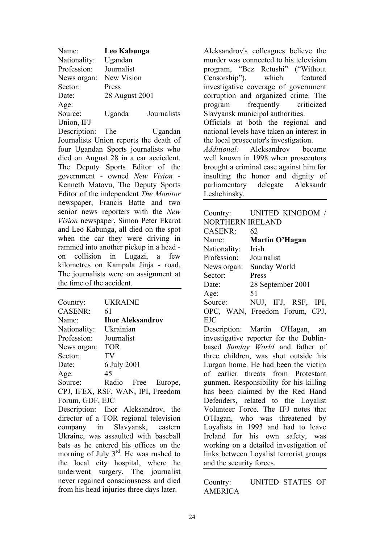| Name:        | Leo Kabunga    |             |
|--------------|----------------|-------------|
| Nationality: | Ugandan        |             |
| Profession:  | Journalist     |             |
| News organ:  | New Vision     |             |
| Sector:      | Press          |             |
| Date:        | 28 August 2001 |             |
| Age:         |                |             |
| Source:      | Uganda         | Journalists |
| Union, IFJ   |                |             |

Description: The Ugandan Journalists Union reports the death of four Ugandan Sports journalists who died on August 28 in a car accicdent. The Deputy Sports Editor of the government - owned *New Vision* - Kenneth Matovu, The Deputy Sports Editor of the independent *The Monitor* newspaper, Francis Batte and two senior news reporters with the *New Vision* newspaper, Simon Peter Ekarot and Leo Kabunga, all died on the spot when the car they were driving in rammed into another pickup in a head on collision in Lugazi, a few kilometres on Kampala Jinja - road. The journalists were on assignment at the time of the accident.

| Country:       | UKRAINE     |                         |         |
|----------------|-------------|-------------------------|---------|
| <b>CASENR:</b> | 61          |                         |         |
| Name:          |             | <b>Ihor Aleksandrov</b> |         |
| Nationality:   | Ukrainian   |                         |         |
| Profession:    | Journalist  |                         |         |
| News organ:    | <b>TOR</b>  |                         |         |
| Sector:        | TV          |                         |         |
| Date:          | 6 July 2001 |                         |         |
| Age:           | 45          |                         |         |
| Source:        | Radio       | Free                    | Europe, |

CPJ, IFEX, RSF, WAN, IPI, Freedom Forum, GDF, EJC

Description: Ihor Aleksandrov, the director of a TOR regional television company in Slavyansk, eastern Ukraine, was assaulted with baseball bats as he entered his offices on the morning of July  $3<sup>rd</sup>$ . He was rushed to the local city hospital, where he underwent surgery. The journalist never regained consciousness and died from his head injuries three days later.

Aleksandrov's colleagues believe the murder was connected to his television program, "Bez Retushi" ("Without Censorship"), which featured investigative coverage of government corruption and organized crime. The program frequently criticized Slavyansk municipal authorities. Officials at both the regional and national levels have taken an interest in the local prosecutor's investigation. *Additional:* Aleksandrov became well known in 1998 when prosecutors brought a criminal case against him for insulting the honor and dignity of parliamentary delegate Aleksandr Leshchinsky.

| Country:                | UNITED KINGDOM /              |
|-------------------------|-------------------------------|
| <b>NORTHERN IRELAND</b> |                               |
| <b>CASENR:</b>          | 62                            |
| Name:                   | Martin O'Hagan                |
| Nationality:            | - Irish                       |
| Profession:             | Journalist                    |
| News organ:             | Sunday World                  |
| Sector:                 | Press                         |
| Date:                   | 28 September 2001             |
| Age:                    | 51                            |
| Source:                 | NUJ, IFJ, RSF, IPI,           |
|                         | OPC, WAN, Freedom Forum, CPJ, |
| EJC                     |                               |

Description: Martin O'Hagan, an investigative reporter for the Dublinbased *Sunday World* and father of three children, was shot outside his Lurgan home. He had been the victim of earlier threats from Protestant gunmen. Responsibility for his killing has been claimed by the Red Hand Defenders, related to the Loyalist Volunteer Force. The IFJ notes that O'Hagan, who was threatened by Loyalists in 1993 and had to leave Ireland for his own safety, was working on a detailed investigation of links between Loyalist terrorist groups and the security forces.

Country: UNITED STATES OF AMERICA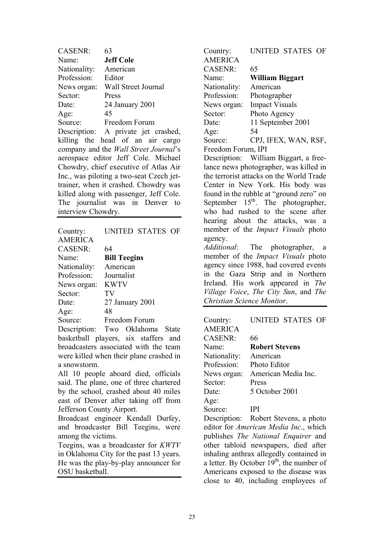| <b>CASENR:</b>                        | 63                                       |  |
|---------------------------------------|------------------------------------------|--|
| Name:                                 | <b>Jeff Cole</b>                         |  |
| Nationality: American                 |                                          |  |
| Profession: Editor                    |                                          |  |
| News organ:                           | Wall Street Journal                      |  |
| Sector:                               | Press                                    |  |
| Date:                                 | 24 January 2001                          |  |
| Age:                                  | 45                                       |  |
| Source:                               | Freedom Forum                            |  |
|                                       | Description: A private jet crashed,      |  |
|                                       | killing the head of an air cargo         |  |
|                                       | company and the Wall Street Journal's    |  |
|                                       | aerospace editor Jeff Cole. Michael      |  |
| Chowdry, chief executive of Atlas Air |                                          |  |
|                                       | Inc., was piloting a two-seat Czech jet- |  |
|                                       | trainer, when it crashed. Chowdry was    |  |
|                                       | killed along with passenger, Jeff Cole.  |  |
|                                       | The journalist was in Denver to          |  |
| interview Chowdry.                    |                                          |  |
|                                       |                                          |  |

| Country:       | UNITED STATES OF    |
|----------------|---------------------|
| <b>AMERICA</b> |                     |
| <b>CASENR:</b> | 64                  |
| Name:          | <b>Bill Teegins</b> |
| Nationality:   | American            |
| Profession:    | Journalist          |
| News organ:    | <b>KWTV</b>         |
| Sector:        | TV                  |
| Date:          | 27 January 2001     |
| Age:           | 48                  |
| Source:        | Freedom Forum       |

Description: Two Oklahoma State basketball players, six staffers and broadcasters associated with the team were killed when their plane crashed in a snowstorm.

All 10 people aboard died, officials said. The plane, one of three chartered by the school, crashed about 40 miles east of Denver after taking off from Jefferson County Airport.

Broadcast engineer Kendall Durfey, and broadcaster Bill Teegins, were among the victims.

Teegins, was a broadcaster for *KWTV* in Oklahoma City for the past 13 years. He was the play-by-play announcer for OSU basketball.

Country: UNITED STATES OF AMERICA CASENR: 65 Name: **William Biggart** Nationality: American Profession: Photographer News organ: Impact Visuals Sector: Photo Agency Date: 11 September 2001 Age: 54 Source: CPJ, IFEX, WAN, RSF, Freedom Forum, IPI

Description: William Biggart, a freelance news photographer, was killed in the terrorist attacks on the World Trade Center in New York. His body was found in the rubble at "ground zero" on September  $15<sup>th</sup>$ . The photographer, who had rushed to the scene after hearing about the attacks, was a member of the *Impact Visuals* photo agency.

*Additional*: The photographer, a member of the *Impact Visuals* photo agency since 1988, had covered events in the Gaza Strip and in Northern Ireland. His work appeared in *The Village Voice*, *The City Sun*, and *The Christian Science Monitor*.

| Country:       | UNITED STATES OF        |
|----------------|-------------------------|
| <b>AMERICA</b> |                         |
| <b>CASENR:</b> | 66                      |
| Name:          | <b>Robert Stevens</b>   |
| Nationality:   | American                |
| Profession:    | Photo Editor            |
| News organ:    | American Media Inc.     |
| Sector:        | Press                   |
| Date:          | 5 October 2001          |
| Age:           |                         |
| Source:        | IPI                     |
| Description:   | Robert Stevens, a photo |

Description: Robert Stevens, a photo editor for *American Media Inc*., which publishes *The National Enquirer* and other tabloid newspapers, died after inhaling anthrax allegedly contained in a letter. By October  $19<sup>th</sup>$ , the number of Americans exposed to the disease was close to 40, including employees of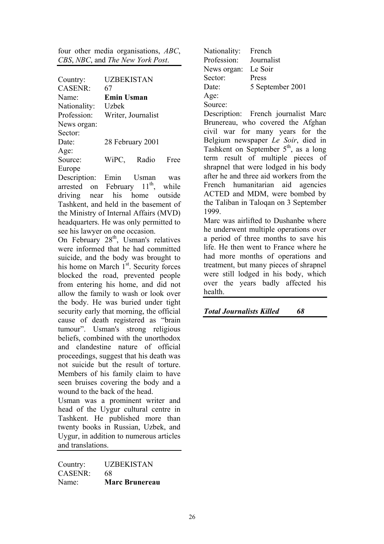four other media organisations, *ABC*, *CBS*, *NBC*, and *The New York Post*.

| Country:          | <b>UZBEKISTAN</b>  |       |      |
|-------------------|--------------------|-------|------|
| <b>CASENR:</b>    | 67                 |       |      |
| Name <sup>-</sup> | <b>Emin Usman</b>  |       |      |
| Nationality:      | Uzbek              |       |      |
| Profession:       | Writer, Journalist |       |      |
| News organ:       |                    |       |      |
| Sector:           |                    |       |      |
| Date:             | 28 February 2001   |       |      |
| Age:              |                    |       |      |
| Source:           | WiPC,              | Radio | Free |
| Europe            |                    |       |      |

Description: Emin Usman was arrested on February  $11^{th}$ , while driving near his home outside Tashkent, and held in the basement of the Ministry of Internal Affairs (MVD) headquarters. He was only permitted to see his lawyer on one occasion.

On February 28<sup>th</sup>, Usman's relatives were informed that he had committed suicide, and the body was brought to his home on March 1<sup>st</sup>. Security forces blocked the road, prevented people from entering his home, and did not allow the family to wash or look over the body. He was buried under tight security early that morning, the official cause of death registered as "brain tumour". Usman's strong religious beliefs, combined with the unorthodox and clandestine nature of official proceedings, suggest that his death was not suicide but the result of torture. Members of his family claim to have seen bruises covering the body and a wound to the back of the head.

Usman was a prominent writer and head of the Uygur cultural centre in Tashkent. He published more than twenty books in Russian, Uzbek, and Uygur, in addition to numerous articles and translations.

Country: UZBEKISTAN CASENR: 68 Name: **Marc Brunereau** Nationality: French Profession: Journalist News organ: Le Soir Sector: Press Date: 5 September 2001 Age: Source:

Description: French journalist Marc Brunereau, who covered the Afghan civil war for many years for the Belgium newspaper *Le Soir*, died in Tashkent on September 5<sup>th</sup>, as a long term result of multiple pieces of shrapnel that were lodged in his body after he and three aid workers from the French humanitarian aid agencies ACTED and MDM, were bombed by the Taliban in Taloqan on 3 September 1999.

Marc was airlifted to Dushanbe where he underwent multiple operations over a period of three months to save his life. He then went to France where he had more months of operations and treatment, but many pieces of shrapnel were still lodged in his body, which over the years badly affected his health.

*Total Journalists Killed 68*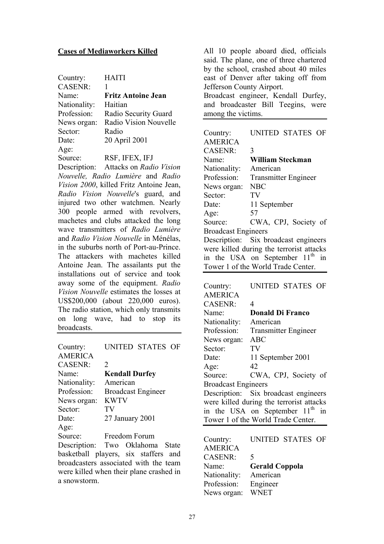#### **Cases of Mediaworkers Killed**

| Country:       | <b>HAITI</b>              |
|----------------|---------------------------|
| <b>CASENR:</b> | 1                         |
| Name:          | <b>Fritz Antoine Jean</b> |
| Nationality:   | Haitian                   |
| Profession:    | Radio Security Guard      |
| News organ:    | Radio Vision Nouvelle     |
| Sector:        | Radio                     |
| Date:          | 20 April 2001             |
| Age:           |                           |
| Source:        | RSF, IFEX, IFJ            |

Description: Attacks on *Radio Vision Nouvelle, Radio Lumière* and *Radio Vision 2000*, killed Fritz Antoine Jean, *Radio Vision Nouvelle*'s guard, and injured two other watchmen. Nearly 300 people armed with revolvers, machetes and clubs attacked the long wave transmitters of *Radio Lumière* and *Radio Vision Nouvelle* in Ménélas, in the suburbs north of Port-au-Prince. The attackers with machetes killed Antoine Jean. The assailants put the installations out of service and took away some of the equipment. *Radio Vision Nouvelle* estimates the losses at US\$200,000 (about 220,000 euros). The radio station, which only transmits on long wave, had to stop its broadcasts.

| Country:          | UNITED STATES OF          |
|-------------------|---------------------------|
| <b>AMERICA</b>    |                           |
| <b>CASENR:</b>    | $\mathcal{D}_{\cdot}$     |
| Name <sup>-</sup> | <b>Kendall Durfey</b>     |
| Nationality:      | American                  |
| Profession:       | <b>Broadcast Engineer</b> |
| News organ:       | <b>KWTV</b>               |
| Sector:           | TV                        |
| Date:             | 27 January 2001           |
| Age:              |                           |
| Source:           | Freedom Forum             |
| Description:      | Oklahoma<br>Two<br>State  |

basketball players, six staffers and broadcasters associated with the team were killed when their plane crashed in a snowstorm.

All 10 people aboard died, officials said. The plane, one of three chartered by the school, crashed about 40 miles east of Denver after taking off from Jefferson County Airport. Broadcast engineer, Kendall Durfey, and broadcaster Bill Teegins, were among the victims.

| Country:                                 | UNITED STATES OF                               |  |
|------------------------------------------|------------------------------------------------|--|
| <b>AMERICA</b>                           |                                                |  |
| <b>CASENR:</b>                           | 3                                              |  |
| Name <sup>-</sup>                        | <b>William Steckman</b>                        |  |
| Nationality:                             | American                                       |  |
| Profession:                              | <b>Transmitter Engineer</b>                    |  |
| News organ:                              | <b>NBC</b>                                     |  |
| Sector:                                  | TV                                             |  |
| Date:                                    | 11 September                                   |  |
| Age:                                     | 57                                             |  |
| Source:                                  | CWA, CPJ, Society of                           |  |
| <b>Broadcast Engineers</b>               |                                                |  |
|                                          | Description: Six broadcast engineers           |  |
| were killed during the terrorist attacks |                                                |  |
|                                          | in the USA on September 11 <sup>th</sup><br>in |  |
|                                          | Tower 1 of the World Trade Center.             |  |

| Country:                   | UNITED STATES OF                            |
|----------------------------|---------------------------------------------|
| <b>AMERICA</b>             |                                             |
| <b>CASENR:</b>             | 4                                           |
| Name:                      | <b>Donald Di Franco</b>                     |
| Nationality:               | American                                    |
| Profession:                | <b>Transmitter Engineer</b>                 |
| News organ:                | <b>ABC</b>                                  |
| Sector:                    | TV                                          |
| Date:                      | 11 September 2001                           |
| Age:                       | 42                                          |
| Source:                    | CWA, CPJ, Society of                        |
| <b>Broadcast Engineers</b> |                                             |
|                            | Description: Six broadcast engineers        |
|                            | were killed during the terrorist attacks    |
|                            | in the USA on September 11 <sup>th</sup> in |
|                            | Tower 1 of the World Trade Center.          |

| Country:       |                       | UNITED STATES OF |  |
|----------------|-----------------------|------------------|--|
| <b>AMERICA</b> |                       |                  |  |
| <b>CASENR:</b> | 5                     |                  |  |
| Name:          | <b>Gerald Coppola</b> |                  |  |
| Nationality:   | American              |                  |  |
| Profession:    | Engineer              |                  |  |
| News organ:    | <b>WNET</b>           |                  |  |
|                |                       |                  |  |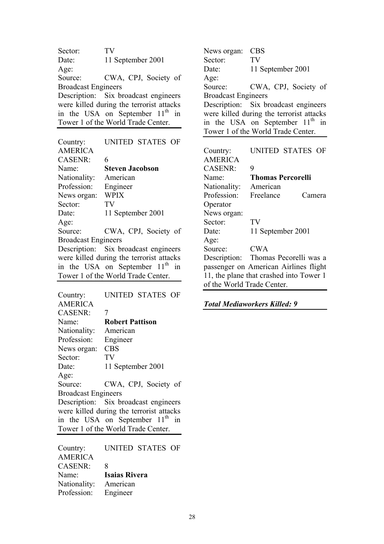Sector: TV Date: 11 September 2001 Age: Source: CWA, CPJ, Society of Broadcast Engineers Description: Six broadcast engineers were killed during the terrorist attacks in the USA on September  $11<sup>th</sup>$  in Tower 1 of the World Trade Center.

| Country:                   | UNITED STATES OF                            |
|----------------------------|---------------------------------------------|
| <b>AMERICA</b>             |                                             |
| <b>CASENR:</b>             | 6                                           |
| Name:                      | <b>Steven Jacobson</b>                      |
| Nationality:               | American                                    |
| Profession:                | Engineer                                    |
| News organ:                | <b>WPIX</b>                                 |
| Sector:                    | TV                                          |
| Date:                      | 11 September 2001                           |
| Age:                       |                                             |
| Source:                    | CWA, CPJ, Society of                        |
| <b>Broadcast Engineers</b> |                                             |
|                            | Description: Six broadcast engineers        |
|                            | were killed during the terrorist attacks    |
|                            | in the USA on September 11 <sup>th</sup> in |

Tower 1 of the World Trade Center.

| Country:                                                                      | UNITED STATES OF                            |  |
|-------------------------------------------------------------------------------|---------------------------------------------|--|
| <b>AMERICA</b>                                                                |                                             |  |
| <b>CASENR:</b>                                                                | 7                                           |  |
| Name <sup>-</sup>                                                             | <b>Robert Pattison</b>                      |  |
| Nationality:                                                                  | American                                    |  |
| Profession:                                                                   | Engineer                                    |  |
| News organ:                                                                   | <b>CBS</b>                                  |  |
| Sector:                                                                       | TV                                          |  |
| Date:                                                                         | 11 September 2001                           |  |
| Age:                                                                          |                                             |  |
| Source:                                                                       | CWA, CPJ, Society of                        |  |
| <b>Broadcast Engineers</b>                                                    |                                             |  |
|                                                                               | Description: Six broadcast engineers        |  |
| were killed during the terrorist attacks                                      |                                             |  |
|                                                                               | in the USA on September 11 <sup>th</sup> in |  |
|                                                                               | Tower 1 of the World Trade Center.          |  |
|                                                                               |                                             |  |
| Country:<br>$\lambda$ $\lambda$ $\Gamma$ $\Gamma$ $\Gamma$ $\Gamma$ $\Lambda$ | UNITED STATES OF                            |  |

| $\sim$ unu $\gamma$ . |                      |
|-----------------------|----------------------|
| <b>AMERICA</b>        |                      |
| <b>CASENR:</b>        | 8                    |
| Name:                 | <b>Isaias Rivera</b> |
| Nationality:          | American             |
| Profession:           | Engineer             |
|                       |                      |

News organ: CBS Sector: TV Date: 11 September 2001 Age: Source: CWA, CPJ, Society of Broadcast Engineers Description: Six broadcast engineers were killed during the terrorist attacks in the USA on September  $11<sup>th</sup>$  in Tower 1 of the World Trade Center.

Country: UNITED STATES OF AMERICA CASENR<sup>:</sup> 9 Name: **Thomas Percorelli** Nationality: American Profession: Freelance Camera **Operator** News organ: Sector: TV Date: 11 September 2001 Age: Source: CWA Description: Thomas Pecorelli was a passenger on American Airlines flight 11, the plane that crashed into Tower 1 of the World Trade Center.

*Total Mediaworkers Killed: 9*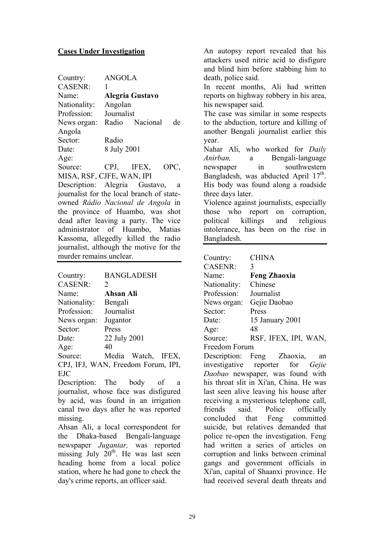#### **Cases Under Investigation**

| Country:          | <b>ANGOLA</b>             |
|-------------------|---------------------------|
| <b>CASENR:</b>    |                           |
| Name <sup>-</sup> | Alegria Gustavo           |
| Nationality:      | Angolan                   |
| Profession:       | Journalist                |
| News organ:       | Radio Nacional<br>de      |
| Angola            |                           |
| Sector:           | Radio                     |
| Date:             | 8 July 2001               |
| Age:              |                           |
| Source:           | IFEX,<br>CPJ,<br>OPC,     |
|                   | MISA, RSF, CJFE, WAN, IPI |

Description: Alegria Gustavo, a journalist for the local branch of stateowned *Rádio Nacional de Angola* in the province of Huambo, was shot dead after leaving a party. The vice administrator of Huambo, Matias Kassoma, allegedly killed the radio journalist, although the motive for the murder remains unclear.

| Country:          | <b>BANGLADESH</b>                  |
|-------------------|------------------------------------|
| <b>CASENR:</b>    | $\mathcal{D}_{\cdot}$              |
| Name <sup>-</sup> | Ahsan Ali                          |
| Nationality:      | Bengali                            |
| Profession:       | Journalist                         |
| News organ:       | Jugantor                           |
| Sector:           | Press                              |
| Date              | 22 July 2001                       |
| Age:              | 40                                 |
| Source:           | Media Watch, IFEX,                 |
|                   | CPJ, IFJ, WAN, Freedom Forum, IPI, |
| EJC               |                                    |

Description: The body of a journalist, whose face was disfigured by acid, was found in an irrigation canal two days after he was reported missing.

Ahsan Ali, a local correspondent for the Dhaka-based Bengali-language newspaper *Jugantar,* was reported missing July  $20^{th}$ . He was last seen heading home from a local police station, where he had gone to check the day's crime reports, an officer said.

An autopsy report revealed that his attackers used nitric acid to disfigure and blind him before stabbing him to death, police said.

In recent months, Ali had written reports on highway robbery in his area, his newspaper said.

The case was similar in some respects to the abduction, torture and killing of another Bengali journalist earlier this year.

Nahar Ali, who worked for *Daily Anirban,* a Bengali-language newspaper in southwestern Bangladesh, was abducted April  $17<sup>th</sup>$ . His body was found along a roadside three days later.

Violence against journalists, especially those who report on corruption, political killings and religious intolerance, has been on the rise in Bangladesh.

| Country:               | <b>CHINA</b>                            |
|------------------------|-----------------------------------------|
| CASENR:                | 3                                       |
| Name:                  | <b>Feng Zhaoxia</b>                     |
| Nationality: Chinese   |                                         |
| Profession: Journalist |                                         |
|                        | News organ: Gejie Daobao                |
| Sector:                | Press                                   |
| Date:                  | 15 January 2001                         |
| Age:                   | 48                                      |
|                        | Source: RSF, IFEX, IPI, WAN,            |
| Freedom Forum          |                                         |
|                        | Description: Feng Zhaoxia,<br>an        |
|                        | investigative reporter for Gejie        |
|                        | Daobao newspaper, was found with        |
|                        | his throat slit in Xi'an, China. He was |
|                        | last seen alive leaving his house after |
|                        | receiving a mysterious telephone call,  |
|                        | friends said. Police officially         |
|                        | concluded that Feng committed           |

concluded that Feng committed suicide, but relatives demanded that police re-open the investigation. Feng had written a series of articles on corruption and links between criminal gangs and government officials in Xi'an, capital of Shaanxi province. He had received several death threats and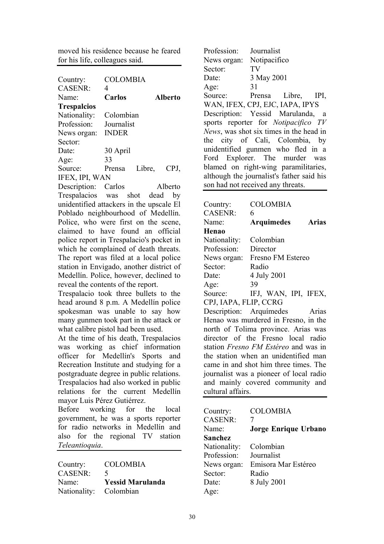moved his residence because he feared for his life, colleagues said.

| Country:              | COLOMBIA     |        |         |
|-----------------------|--------------|--------|---------|
| CASENR:               | 4            |        |         |
| Name <sup>-</sup>     | Carlos       |        | Alberto |
| <b>Trespalcios</b>    |              |        |         |
| Nationality:          | Colombian    |        |         |
| Profession:           | Journalist   |        |         |
| News organ:           | <b>INDER</b> |        |         |
| Sector:               |              |        |         |
| Date:                 | 30 April     |        |         |
| Age:                  | 33           |        |         |
| Source:               | Prensa       | Libre, | CPJ,    |
| <b>IFEX, IPI, WAN</b> |              |        |         |

Description: Carlos Alberto Trespalacios was shot dead by unidentified attackers in the upscale El Poblado neighbourhood of Medellín. Police, who were first on the scene, claimed to have found an official police report in Trespalacio's pocket in which he complained of death threats. The report was filed at a local police station in Envigado, another district of Medellín. Police, however, declined to reveal the contents of the report.

Trespalacio took three bullets to the head around 8 p.m. A Medellín police spokesman was unable to say how many gunmen took part in the attack or what calibre pistol had been used.

At the time of his death, Trespalacios was working as chief information officer for Medellín's Sports and Recreation Institute and studying for a postgraduate degree in public relations. Trespalacios had also worked in public relations for the current Medellín mayor Luis Pérez Gutiérrez.

Before working for the local government, he was a sports reporter for radio networks in Medellín and also for the regional TV station *Teleantioquia*.

| Country:               | <b>COLOMBIA</b>         |
|------------------------|-------------------------|
| <b>CASENR:</b>         | $\blacktriangle$        |
| Name:                  | <b>Yessid Marulanda</b> |
| Nationality: Colombian |                         |

Profession: Journalist News organ: Notipacifico Sector: TV Date: 3 May 2001 Age: 31 Source: Prensa Libre, IPI, WAN, IFEX, CPJ, EJC, IAPA, IPYS Description: Yessid Marulanda, a sports reporter for *Notipacifico TV News*, was shot six times in the head in the city of Cali, Colombia, by unidentified gunmen who fled in a Ford Explorer. The murder was blamed on right-wing paramilitaries, although the journalist's father said his son had not received any threats.

| Country:                                    | <b>COLOMBIA</b>                      |  |
|---------------------------------------------|--------------------------------------|--|
| <b>CASENR:</b>                              | 6                                    |  |
| Name:                                       | <b>Arquimedes</b><br>Arias           |  |
| Henao                                       |                                      |  |
| Nationality:                                | Colombian                            |  |
| Profession:                                 | Director                             |  |
| News organ:                                 | Fresno FM Estereo                    |  |
| Sector:                                     | Radio                                |  |
| Date:                                       | 4 July 2001                          |  |
| Age:                                        | 39                                   |  |
| Source:                                     | IFJ, WAN, IPI, IFEX,                 |  |
| CPJ, IAPA, FLIP, CCRG                       |                                      |  |
| Description: Arquímedes                     | Arias                                |  |
|                                             | Henao was murdered in Fresno, in the |  |
| north of Tolima province. Arias was         |                                      |  |
|                                             | director of the Fresno local radio   |  |
| station <i>Fresno FM Estéreo</i> and was in |                                      |  |
| the station when an unidentified man        |                                      |  |
| came in and shot him three times. The       |                                      |  |
| journalist was a pioneer of local radio     |                                      |  |
|                                             | and mainly covered community and     |  |
| cultural affairs.                           |                                      |  |
|                                             |                                      |  |

| Country:       | <b>COLOMBIA</b>             |
|----------------|-----------------------------|
| <b>CASENR:</b> |                             |
| Name:          | <b>Jorge Enrique Urbano</b> |
| Sanchez        |                             |
| Nationality:   | Colombian                   |
| Profession:    | Journalist                  |
| News organ:    | Emisora Mar Estéreo         |
| Sector:        | Radio                       |
| Date:          | 8 July 2001                 |
| Age:           |                             |
|                |                             |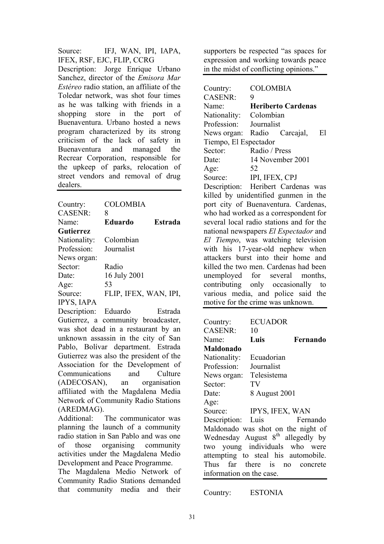Source: IFJ, WAN, IPI, IAPA, IFEX, RSF, EJC, FLIP, CCRG

Description: Jorge Enrique Urbano Sanchez, director of the *Emisora Mar Estéreo* radio station, an affiliate of the Toledar network, was shot four times as he was talking with friends in a shopping store in the port of Buenaventura. Urbano hosted a news program characterized by its strong criticism of the lack of safety in Buenaventura and managed the Recrear Corporation, responsible for the upkeep of parks, relocation of street vendors and removal of drug dealers.

| Country:          | <b>COLOMBIA</b>       |         |
|-------------------|-----------------------|---------|
| <b>CASENR:</b>    | 8                     |         |
| Name <sup>-</sup> | <b>Eduardo</b>        | Estrada |
| Gutierrez         |                       |         |
| Nationality:      | Colombian             |         |
| Profession:       | Journalist            |         |
| News organ:       |                       |         |
| Sector:           | Radio                 |         |
| Date:             | 16 July 2001          |         |
| Age:              | 53                    |         |
| Source:           | FLIP, IFEX, WAN, IPI, |         |
| <b>IPYS, IAPA</b> |                       |         |

Description: Eduardo Estrada Gutierrez, a community broadcaster, was shot dead in a restaurant by an unknown assassin in the city of San Pablo, Bolívar department. Estrada Gutierrez was also the president of the Association for the Development of Communications and Culture (ADECOSAN), an organisation affiliated with the Magdalena Media Network of Community Radio Stations (AREDMAG).

Additional: The communicator was planning the launch of a community radio station in San Pablo and was one of those organising community activities under the Magdalena Medio Development and Peace Programme.

The Magdalena Medio Network of Community Radio Stations demanded that community media and their

supporters be respected "as spaces for expression and working towards peace in the midst of conflicting opinions."

Country: COLOMBIA CASENR: 9 Name: **Heriberto Cardenas** Nationality: Colombian Profession: Journalist News organ: Radio Carcajal, El Tiempo, El Espectador Sector: Radio / Press Date: 14 November 2001 Age  $52$ Source: **IPI, IFEX, CPJ** Description: Heribert Cardenas was

killed by unidentified gunmen in the port city of Buenaventura. Cardenas, who had worked as a correspondent for several local radio stations and for the national newspapers *El Espectador* and *El Tiempo*, was watching television with his 17-year-old nephew when attackers burst into their home and killed the two men. Cardenas had been unemployed for several months, contributing only occasionally to various media, and police said the motive for the crime was unknown.

| Country:                                      | <b>ECUADOR</b> |          |  |
|-----------------------------------------------|----------------|----------|--|
| <b>CASENR:</b>                                | 10             |          |  |
| Name:                                         | Luis           | Fernando |  |
| Maldonado                                     |                |          |  |
| Nationality:                                  | Ecuadorian     |          |  |
| Profession: Journalist                        |                |          |  |
| News organ:                                   | Telesistema    |          |  |
| Sector:                                       | TV             |          |  |
| Date:                                         | 8 August 2001  |          |  |
| Age:                                          |                |          |  |
| Source: IPYS, IFEX, WAN                       |                |          |  |
| Description: Luis Fernando                    |                |          |  |
| Maldonado was shot on the night of            |                |          |  |
| Wednesday August 8 <sup>th</sup> allegedly by |                |          |  |
| two young individuals who were                |                |          |  |
| attempting to steal his automobile.           |                |          |  |
| Thus far there is no concrete                 |                |          |  |
| information on the case.                      |                |          |  |

Country: ESTONIA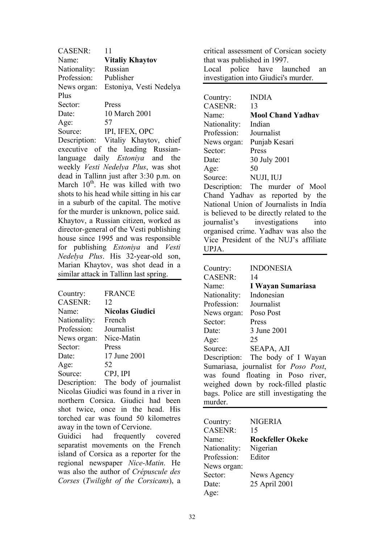| <b>CASENR:</b>                          | 11                                              |  |
|-----------------------------------------|-------------------------------------------------|--|
| Name:                                   | <b>Vitaliy Khaytov</b>                          |  |
| Nationality:                            | Russian                                         |  |
| Profession:                             | Publisher                                       |  |
| News organ:                             | Estoniya, Vesti Nedelya                         |  |
| Plus                                    |                                                 |  |
| Sector:                                 | Press                                           |  |
| Date:                                   | $10$ March 2001                                 |  |
| Age:                                    | 57                                              |  |
|                                         | Source: IPI, IFEX, OPC                          |  |
|                                         | Description: Vitaliy Khaytov, chief             |  |
|                                         | executive of the leading Russian-               |  |
|                                         | language daily <i>Estoniya</i> and the          |  |
|                                         | weekly Vesti Nedelya Plus, was shot             |  |
| dead in Tallinn just after 3:30 p.m. on |                                                 |  |
|                                         | March 10 <sup>th</sup> . He was killed with two |  |
|                                         | shots to his head while sitting in his car      |  |
|                                         | in a suburb of the capital. The motive          |  |
|                                         | for the murder is unknown, police said.         |  |
|                                         | Khaytov, a Russian citizen, worked as           |  |
|                                         | director-general of the Vesti publishing        |  |
|                                         | house since 1995 and was responsible            |  |

house since 1995 and was responsible for publishing *Estoniya* and *Vesti Nedelya Plus*. His 32-year-old son, Marian Khaytov, was shot dead in a similar attack in Tallinn last spring.

| Country:       | <b>FRANCE</b>          |
|----------------|------------------------|
| <b>CASENR:</b> | 12                     |
| Name:          | <b>Nicolas Giudici</b> |
| Nationality:   | French                 |
| Profession:    | Journalist             |
| News organ:    | Nice-Matin             |
| Sector:        | Press                  |
| Date:          | 17 June 2001           |
| Age:           | 52                     |
| Source:        | CPJ, IPI               |
|                |                        |

Description: The body of journalist Nicolas Giudici was found in a river in northern Corsica. Giudici had been shot twice, once in the head. His torched car was found 50 kilometres away in the town of Cervione.

Guidici had frequently covered separatist movements on the French island of Corsica as a reporter for the regional newspaper *Nice-Matin*. He was also the author of *Crépuscule des Corses* (*Twilight of the Corsicans*), a

critical assessment of Corsican society that was published in 1997. Local police have launched an

investigation into Giudici's murder.

| Country:                               | <b>INDIA</b>                    |  |
|----------------------------------------|---------------------------------|--|
| CASENR:                                | 13                              |  |
| Name:                                  | <b>Mool Chand Yadhav</b>        |  |
| Nationality:                           | Indian                          |  |
| Profession:                            | Journalist                      |  |
| News organ:                            | Punjab Kesari                   |  |
| Sector:                                | Press                           |  |
| Date:                                  | 30 July 2001                    |  |
| Age:                                   | 50                              |  |
| Source:                                | NUJI, IUJ                       |  |
|                                        | Description: The murder of Mool |  |
|                                        | Chand Yadhav as reported by the |  |
| National Union of Journalists in India |                                 |  |

is believed to be directly related to the journalist's investigations into organised crime. Yadhav was also the Vice President of the NUJ's affiliate UPJA.

| Country:                            | <b>INDONESIA</b>                             |  |
|-------------------------------------|----------------------------------------------|--|
| <b>CASENR:</b>                      | 14                                           |  |
| Name:                               | I Wayan Sumariasa                            |  |
| Nationality:                        | Indonesian                                   |  |
| Profession:                         | Journalist                                   |  |
| News organ:                         | Poso Post                                    |  |
| Sector:                             | Press                                        |  |
| Date:                               | 3 June 2001                                  |  |
| Age:                                | 25                                           |  |
| Source:                             | SEAPA, AJI                                   |  |
|                                     | Description: The body of I Wayan             |  |
|                                     | Sumariasa, journalist for <i>Poso Post</i> , |  |
|                                     | was found floating in Poso river,            |  |
| weighed down by rock-filled plastic |                                              |  |
|                                     | bags. Police are still investigating the     |  |
| murder.                             |                                              |  |

| Country:       | <b>NIGERIA</b>          |
|----------------|-------------------------|
|                |                         |
| <b>CASENR:</b> | 15                      |
| Name:          | <b>Rockfeller Okeke</b> |
| Nationality:   | Nigerian                |
| Profession:    | Editor                  |
| News organ:    |                         |
| Sector:        | News Agency             |
| Date:          | 25 April 2001           |
| Age:           |                         |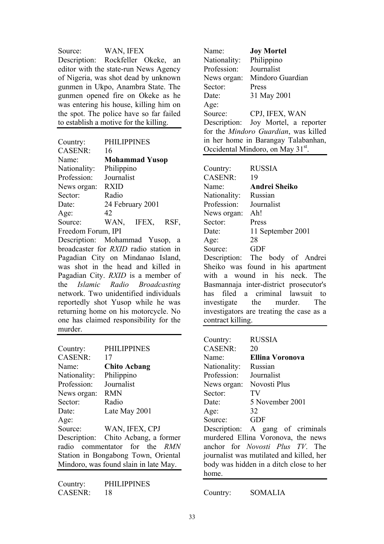Source: WAN, IFEX Description: Rockfeller Okeke, an editor with the state-run News Agency of Nigeria, was shot dead by unknown gunmen in Ukpo, Anambra State. The gunmen opened fire on Okeke as he was entering his house, killing him on the spot. The police have so far failed to establish a motive for the killing.

| 16                    |       |                                                                    |
|-----------------------|-------|--------------------------------------------------------------------|
| <b>Mohammad Yusop</b> |       |                                                                    |
|                       |       |                                                                    |
|                       |       |                                                                    |
| <b>RXID</b>           |       |                                                                    |
| Radio                 |       |                                                                    |
|                       |       |                                                                    |
| 42                    |       |                                                                    |
| WAN.                  | IFEX, | RSF,                                                               |
| Freedom Forum, IPI    |       |                                                                    |
|                       |       | <b>PHILIPPINES</b><br>Philippino<br>Journalist<br>24 February 2001 |

Description: Mohammad Yusop, a broadcaster for *RXID* radio station in Pagadian City on Mindanao Island, was shot in the head and killed in Pagadian City. *RXID* is a member of the *Islamic Radio Broadcasting* network. Two unidentified individuals reportedly shot Yusop while he was returning home on his motorcycle. No one has claimed responsibility for the murder.

| Country:          | <b>PHILIPPINES</b>                    |
|-------------------|---------------------------------------|
| <b>CASENR:</b>    | 17                                    |
| Name <sup>.</sup> | <b>Chito Acbang</b>                   |
| Nationality:      | Philippino                            |
| Profession:       | Journalist                            |
| News organ:       | <b>RMN</b>                            |
| Sector:           | Radio                                 |
| Date:             | Late May 2001                         |
| Age:              |                                       |
| Source:           | WAN, IFEX, CPJ                        |
|                   | Description: Chito Acbang, a former   |
|                   | radio commentator for the RMN         |
|                   | Station in Bongabong Town, Oriental   |
|                   | Mindoro, was found slain in late May. |

Country: PHILIPPINES CASENR: 18

Name: **Joy Mortel** Nationality: Philippino Profession: Journalist News organ: Mindoro Guardian Sector: Press Date: 31 May 2001 Age: Source: CPJ, IFEX, WAN Description: Joy Mortel, a reporter for the *Mindoro Guardian*, was killed in her home in Barangay Talabanhan, Occidental Mindoro, on May 31<sup>st</sup>. Country: RUSSIA CASENR: 19 Name: **Andrei Sheiko**  Nationality: Russian Profession: Journalist News organ: Ah! Sector: Press Date: 11 September 2001 Age: 28 Source: GDF

Description: The body of Andrei Sheiko was found in his apartment with a wound in his neck. The Basmannaja inter-district prosecutor's has filed a criminal lawsuit to investigate the murder. The investigators are treating the case as a contract killing.

| Country:                                 | <b>RUSSIA</b>                           |  |  |
|------------------------------------------|-----------------------------------------|--|--|
| <b>CASENR:</b>                           | 20                                      |  |  |
| Name <sup>-</sup>                        | <b>Ellina Voronova</b>                  |  |  |
| Nationality:                             | Russian                                 |  |  |
| Profession:                              | Journalist                              |  |  |
| News organ:                              | Novosti Plus                            |  |  |
| Sector:                                  | TV                                      |  |  |
| Date:                                    | 5 November 2001                         |  |  |
| Age:                                     | 32                                      |  |  |
| Source:                                  | <b>GDF</b>                              |  |  |
|                                          | Description: A gang of criminals        |  |  |
| murdered Ellina Voronova, the news       |                                         |  |  |
|                                          | anchor for <i>Novosti Plus TV</i> . The |  |  |
| journalist was mutilated and killed, her |                                         |  |  |
|                                          | body was hidden in a ditch close to her |  |  |
| home.                                    |                                         |  |  |

Country: SOMALIA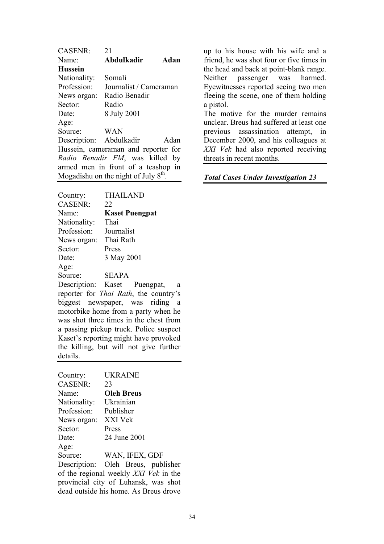| <b>CASENR:</b>                         | 21                                  |      |
|----------------------------------------|-------------------------------------|------|
| Name:                                  | Abdulkadir                          | Adan |
| <b>Hussein</b>                         |                                     |      |
| Nationality:                           | Somali                              |      |
| Profession:                            | Journalist / Cameraman              |      |
| News organ:                            | Radio Benadir                       |      |
| Sector:                                | Radio                               |      |
| Date:                                  | 8 July 2001                         |      |
| Age:                                   |                                     |      |
| Source:                                | WAN                                 |      |
| Description: Abdulkadir                |                                     | Adan |
|                                        | Hussein, cameraman and reporter for |      |
|                                        | Radio Benadir FM, was killed by     |      |
|                                        | armed men in front of a teashop in  |      |
| Mogadishu on the night of July $8th$ . |                                     |      |

| Country:       | <b>THAILAND</b>                               |
|----------------|-----------------------------------------------|
| <b>CASENR:</b> | 22                                            |
| Name:          | <b>Kaset Puengpat</b>                         |
| Nationality:   | Thai                                          |
| Profession:    | Journalist                                    |
| News organ:    | Thai Rath                                     |
| Sector:        | Press                                         |
| Date:          | 3 May 2001                                    |
| Age:           |                                               |
| Source:        | <b>SEAPA</b>                                  |
|                | Description: Kaset Puengpat,<br>a             |
|                | reporter for <i>Thai Rath</i> , the country's |
|                | biggest newspaper, was riding<br>a            |
|                | motorbike home from a narty when he           |

motorbike home from a party when he was shot three times in the chest from a passing pickup truck. Police suspect Kaset's reporting might have provoked the killing, but will not give further details.

| Country:                              | UKRAINE                              |  |
|---------------------------------------|--------------------------------------|--|
| <b>CASENR:</b>                        | 23                                   |  |
| Name:                                 | <b>Oleh Breus</b>                    |  |
| Nationality:                          | Ukrainian                            |  |
| Profession:                           | Publisher                            |  |
| News organ:                           | XXI Vek                              |  |
| Sector:                               | Press                                |  |
| Date:                                 | 24 June 2001                         |  |
| Age:                                  |                                      |  |
| Source:                               | WAN, IFEX, GDF                       |  |
|                                       | Description: Oleh Breus, publisher   |  |
| of the regional weekly XXI Vek in the |                                      |  |
|                                       | provincial city of Luhansk, was shot |  |
| dead outside his home. As Breus drove |                                      |  |
|                                       |                                      |  |

up to his house with his wife and a friend, he was shot four or five times in the head and back at point-blank range. Neither passenger was harmed. Eyewitnesses reported seeing two men fleeing the scene, one of them holding a pistol.

The motive for the murder remains unclear. Breus had suffered at least one previous assassination attempt, in December 2000, and his colleagues at *XXI Vek* had also reported receiving threats in recent months.

#### *Total Cases Under Investigation 23*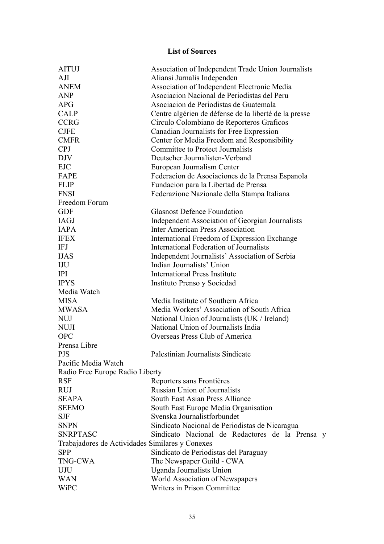### **List of Sources**

| <b>AITUJ</b>                                    | Association of Independent Trade Union Journalists    |  |
|-------------------------------------------------|-------------------------------------------------------|--|
| AJI                                             | Aliansi Jurnalis Independen                           |  |
| <b>ANEM</b>                                     | Association of Independent Electronic Media           |  |
| <b>ANP</b>                                      | Asociacion Nacional de Periodistas del Peru           |  |
| <b>APG</b>                                      | Asociacion de Periodistas de Guatemala                |  |
| <b>CALP</b>                                     | Centre algérien de défense de la liberté de la presse |  |
| <b>CCRG</b>                                     | Circulo Colombiano de Reporteros Graficos             |  |
| <b>CJFE</b>                                     | Canadian Journalists for Free Expression              |  |
| <b>CMFR</b>                                     | Center for Media Freedom and Responsibility           |  |
| <b>CPJ</b>                                      | <b>Committee to Protect Journalists</b>               |  |
| <b>DJV</b>                                      | Deutscher Journalisten-Verband                        |  |
| <b>EJC</b>                                      | European Journalism Center                            |  |
| FAPE                                            | Federacion de Asociaciones de la Prensa Espanola      |  |
| <b>FLIP</b>                                     | Fundacion para la Libertad de Prensa                  |  |
| <b>FNSI</b>                                     | Federazione Nazionale della Stampa Italiana           |  |
| Freedom Forum                                   |                                                       |  |
| <b>GDF</b>                                      | <b>Glasnost Defence Foundation</b>                    |  |
| IAGJ                                            | Independent Association of Georgian Journalists       |  |
| <b>IAPA</b>                                     | <b>Inter American Press Association</b>               |  |
| <b>IFEX</b>                                     | International Freedom of Expression Exchange          |  |
| <b>IFJ</b>                                      | International Federation of Journalists               |  |
| <b>IJAS</b>                                     | Independent Journalists' Association of Serbia        |  |
| IJU                                             | Indian Journalists' Union                             |  |
| <b>IPI</b>                                      | <b>International Press Institute</b>                  |  |
| <b>IPYS</b>                                     | Instituto Prenso y Sociedad                           |  |
| Media Watch                                     |                                                       |  |
| <b>MISA</b>                                     | Media Institute of Southern Africa                    |  |
| <b>MWASA</b>                                    | Media Workers' Association of South Africa            |  |
| <b>NUJ</b>                                      | National Union of Journalists (UK / Ireland)          |  |
| <b>NUJI</b>                                     | National Union of Journalists India                   |  |
| <b>OPC</b>                                      | Overseas Press Club of America                        |  |
| Prensa Libre                                    |                                                       |  |
| <b>PJS</b>                                      | Palestinian Journalists Sindicate                     |  |
| Pacific Media Watch                             |                                                       |  |
| Radio Free Europe Radio Liberty                 |                                                       |  |
| <b>RSF</b>                                      | Reporters sans Frontières                             |  |
| <b>RUJ</b>                                      | <b>Russian Union of Journalists</b>                   |  |
| <b>SEAPA</b>                                    | South East Asian Press Alliance                       |  |
| <b>SEEMO</b>                                    | South East Europe Media Organisation                  |  |
| <b>SJF</b>                                      | Svenska Journalistforbundet                           |  |
| <b>SNPN</b>                                     | Sindicato Nacional de Periodistas de Nicaragua        |  |
| <b>SNRPTASC</b>                                 | Sindicato Nacional de Redactores de la Prensa y       |  |
| Trabajadores de Actividades Similares y Conexes |                                                       |  |
| <b>SPP</b>                                      | Sindicato de Periodistas del Paraguay                 |  |
| <b>TNG-CWA</b>                                  | The Newspaper Guild - CWA                             |  |
| UJU                                             | Uganda Journalists Union                              |  |
| <b>WAN</b>                                      | World Association of Newspapers                       |  |
| <b>WiPC</b>                                     | Writers in Prison Committee                           |  |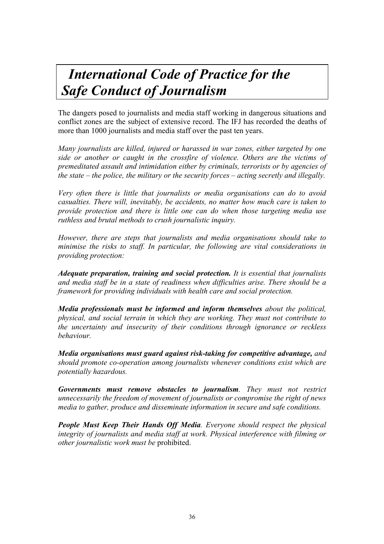# *International Code of Practice for the Safe Conduct of Journalism*

The dangers posed to journalists and media staff working in dangerous situations and conflict zones are the subject of extensive record. The IFJ has recorded the deaths of more than 1000 journalists and media staff over the past ten years.

*Many journalists are killed, injured or harassed in war zones, either targeted by one side or another or caught in the crossfire of violence. Others are the victims of premeditated assault and intimidation either by criminals, terrorists or by agencies of the state – the police, the military or the security forces – acting secretly and illegally.* 

*Very often there is little that journalists or media organisations can do to avoid casualties. There will, inevitably, be accidents, no matter how much care is taken to provide protection and there is little one can do when those targeting media use ruthless and brutal methods to crush journalistic inquiry.* 

*However, there are steps that journalists and media organisations should take to minimise the risks to staff. In particular, the following are vital considerations in providing protection:* 

*Adequate preparation, training and social protection. It is essential that journalists and media staff be in a state of readiness when difficulties arise. There should be a framework for providing individuals with health care and social protection.* 

*Media professionals must be informed and inform themselves about the political, physical, and social terrain in which they are working. They must not contribute to the uncertainty and insecurity of their conditions through ignorance or reckless behaviour.* 

*Media organisations must guard against risk-taking for competitive advantage, and should promote co-operation among journalists whenever conditions exist which are potentially hazardous.* 

*Governments must remove obstacles to journalism. They must not restrict unnecessarily the freedom of movement of journalists or compromise the right of news media to gather, produce and disseminate information in secure and safe conditions.* 

*People Must Keep Their Hands Off Media. Everyone should respect the physical integrity of journalists and media staff at work. Physical interference with filming or other journalistic work must be* prohibited.